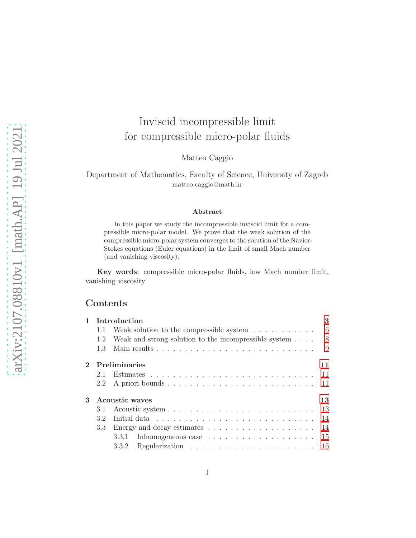# Inviscid incompressible limit for compressible micro-polar fluids

Matteo Caggio

Department of Mathematics, Faculty of Science, University of Zagreb matteo.caggio@math.hr

#### Abstract

In this paper we study the incompressible inviscid limit for a compressible micro-polar model. We prove that the weak solution of the compressible micro-polar system converges to the solution of the Navier-Stokes equations (Euler equations) in the limit of small Mach number (and vanishing viscosity).

Key words: compressible micro-polar fluids, low Mach number limit, vanishing viscosity

## Contents

| $\mathbf{1}$ |                      | Introduction                                                         | 3    |  |  |  |
|--------------|----------------------|----------------------------------------------------------------------|------|--|--|--|
|              | 1.1                  | Weak solution to the compressible system $\ldots \ldots \ldots$      | -6   |  |  |  |
|              | 1.2                  | Weak and strong solution to the incompressible system $\dots$ .      | - 8  |  |  |  |
|              | 1.3                  | Main results                                                         | 9    |  |  |  |
|              |                      | Preliminaries                                                        | 11   |  |  |  |
|              | 2.1                  |                                                                      | - 11 |  |  |  |
|              | $2.2^{\circ}$        |                                                                      | -11  |  |  |  |
| 3            | Acoustic waves<br>13 |                                                                      |      |  |  |  |
|              | 3.1                  |                                                                      | 13   |  |  |  |
|              | 32                   |                                                                      | 14   |  |  |  |
|              | 3.3                  | Energy and decay estimates $\dots \dots \dots \dots \dots \dots$     | 14   |  |  |  |
|              |                      | 3.3.1 Inhomogeneous case $\ldots \ldots \ldots \ldots \ldots \ldots$ | 15   |  |  |  |
|              |                      | 3.3.2                                                                | 16   |  |  |  |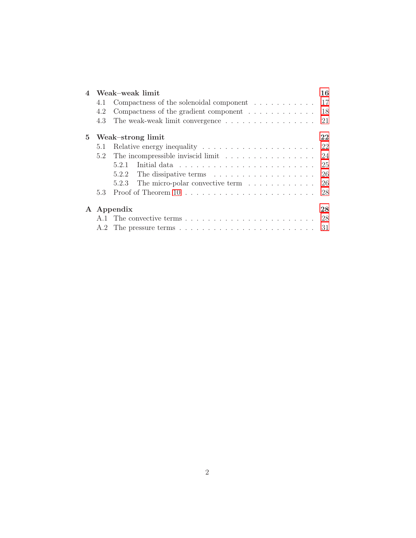| $\overline{4}$ |     | Weak-weak limit                                                                                                                                                                                                                         | 16     |
|----------------|-----|-----------------------------------------------------------------------------------------------------------------------------------------------------------------------------------------------------------------------------------------|--------|
|                | 4.1 | Compactness of the solenoidal component $\dots \dots \dots \dots \dots$ 17                                                                                                                                                              |        |
|                | 4.2 | Compactness of the gradient component $\dots \dots \dots \dots \dots$ 18                                                                                                                                                                |        |
|                | 4.3 | The weak-weak limit convergence $\dots \dots \dots \dots \dots \dots \dots$ 21                                                                                                                                                          |        |
| $5^{\circ}$    |     | Weak-strong limit                                                                                                                                                                                                                       | $22\,$ |
|                | 5.1 | Relative energy inequality $\ldots \ldots \ldots \ldots \ldots \ldots \ldots 22$                                                                                                                                                        |        |
|                | 5.2 | The incompressible inviscid limit                                                                                                                                                                                                       | - 24   |
|                |     | Initial data response in the set of the set of the set of the set of the set of the set of the set of the set of the set of the set of the set of the set of the set of the set of the set of the set of the set of the set of<br>5.2.1 | - 25   |
|                |     | 5.2.2                                                                                                                                                                                                                                   | -26    |
|                |     | The micro-polar convective term $\dots \dots \dots$<br>5.2.3                                                                                                                                                                            | 26     |
|                | 5.3 |                                                                                                                                                                                                                                         | 28     |
|                |     | A Appendix                                                                                                                                                                                                                              | 28     |
|                |     |                                                                                                                                                                                                                                         | 28     |
|                | A.2 |                                                                                                                                                                                                                                         | -31    |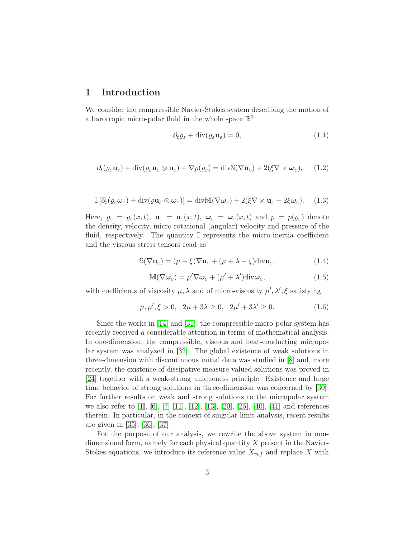## <span id="page-2-0"></span>1 Introduction

We consider the compressible Navier-Stokes system describing the motion of a barotropic micro-polar fluid in the whole space  $\mathbb{R}^3$ 

<span id="page-2-1"></span>
$$
\partial_t \varrho_{\varepsilon} + \operatorname{div}(\varrho_{\varepsilon} \mathbf{u}_{\varepsilon}) = 0, \tag{1.1}
$$

<span id="page-2-3"></span>
$$
\partial_t(\varrho_\varepsilon \mathbf{u}_\varepsilon) + \mathrm{div}(\varrho_\varepsilon \mathbf{u}_\varepsilon \otimes \mathbf{u}_\varepsilon) + \nabla p(\varrho_\varepsilon) = \mathrm{div} \mathbb{S}(\nabla \mathbf{u}_\varepsilon) + 2(\xi \nabla \times \boldsymbol{\omega}_\varepsilon), \qquad (1.2)
$$

<span id="page-2-2"></span>
$$
\mathbb{I}\left[\partial_t(\varrho_{\varepsilon}\boldsymbol{\omega}_{\varepsilon}) + \mathrm{div}(\varrho\mathbf{u}_{\varepsilon}\otimes\boldsymbol{\omega}_{\varepsilon})\right] = \mathrm{div}\mathbb{M}(\nabla\boldsymbol{\omega}_{\varepsilon}) + 2(\xi\nabla\times\mathbf{u}_{\varepsilon} - 2\xi\boldsymbol{\omega}_{\varepsilon}).\tag{1.3}
$$

Here,  $\varrho_{\varepsilon} = \varrho_{\varepsilon}(x, t)$ ,  $\mathbf{u}_{\varepsilon} = \mathbf{u}_{\varepsilon}(x, t)$ ,  $\boldsymbol{\omega}_{\varepsilon} = \boldsymbol{\omega}_{\varepsilon}(x, t)$  and  $p = p(\varrho_{\varepsilon})$  denote the density, velocity, micro-rotational (angular) velocity and pressure of the fluid, respectively. The quantity I represents the micro-inertia coefficient and the viscous stress tensors read as

$$
\mathbb{S}(\nabla \mathbf{u}_{\varepsilon}) = (\mu + \xi) \nabla \mathbf{u}_{\varepsilon} + (\mu + \lambda - \xi) \text{div} \mathbf{u}_{\varepsilon},
$$
(1.4)

$$
\mathbb{M}(\nabla\omega_{\varepsilon}) = \mu' \nabla\omega_{\varepsilon} + (\mu' + \lambda') \text{div}\omega_{\varepsilon},\tag{1.5}
$$

with coefficients of viscosity  $\mu$ ,  $\lambda$  and of micro-viscosity  $\mu'$ ,  $\lambda'$ ,  $\xi$  satisfying

$$
\mu, \mu', \xi > 0, \quad 2\mu + 3\lambda \ge 0, \quad 2\mu' + 3\lambda' \ge 0.
$$
\n(1.6)

Since the works in [\[14\]](#page-34-0) and [\[31\]](#page-35-0), the compressible micro-polar system has recently received a considerable attention in terms of mathematical analysis. In one-dimension, the compressible, viscous and heat-conducting micropolar system was analyzed in [\[32\]](#page-35-1). The global existence of weak solutions in three-dimension with discontinuous initial data was studied in [\[8\]](#page-33-0) and, more recently, the existence of dissipative measure-valued solutions was proved in [\[24\]](#page-34-1) together with a weak-strong uniqueness principle. Existence and large time behavior of strong solutions in three-dimension was concerned by [\[30\]](#page-35-2). For further results on weak and strong solutions to the micropolar system we also refer to [\[1\]](#page-33-1), [\[6\]](#page-33-2), [\[7\]](#page-33-3) [\[11\]](#page-33-4), [\[12\]](#page-33-5), [\[13\]](#page-34-2), [\[20\]](#page-34-3), [\[25\]](#page-35-3), [\[40\]](#page-36-0), [\[41\]](#page-36-1) and references therein. In particular, in the context of singular limit analysis, recent results are given in [\[35\]](#page-35-4), [\[36\]](#page-35-5), [\[37\]](#page-35-6).

For the purpose of our analysis, we rewrite the above system in nondimensional form, namely for each physical quantity  $X$  present in the Navier-Stokes equations, we introduce its reference value  $X_{ref}$  and replace X with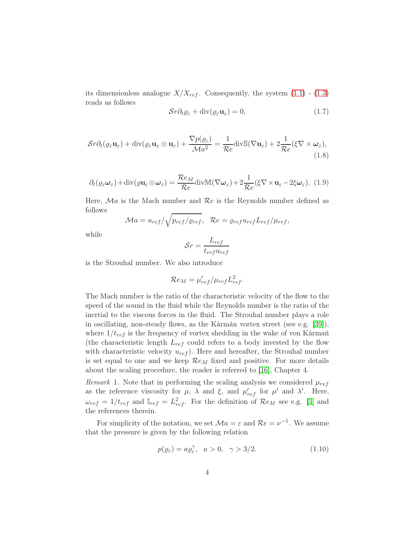its dimensionless analogue  $X/X_{ref}$ . Consequently, the system  $(1.1)$  -  $(1.3)$ reads as follows

$$
\mathcal{S}r\partial_t\varrho_{\varepsilon} + \operatorname{div}(\varrho_{\varepsilon}\mathbf{u}_{\varepsilon}) = 0, \tag{1.7}
$$

$$
\mathcal{S}r\partial_t(\varrho_\varepsilon \mathbf{u}_\varepsilon) + \mathrm{div}(\varrho_\varepsilon \mathbf{u}_\varepsilon \otimes \mathbf{u}_\varepsilon) + \frac{\nabla p(\varrho_\varepsilon)}{\mathcal{M}a^2} = \frac{1}{\mathcal{R}e} \mathrm{div} \mathbb{S}(\nabla \mathbf{u}_\varepsilon) + 2\frac{1}{\mathcal{R}e}(\xi \nabla \times \boldsymbol{\omega}_\varepsilon),\tag{1.8}
$$

$$
\partial_t(\varrho_{\varepsilon}\omega_{\varepsilon}) + \text{div}(\varrho \mathbf{u}_{\varepsilon} \otimes \omega_{\varepsilon}) = \frac{\mathcal{R}e_M}{\mathcal{R}e} \text{div}\mathbb{M}(\nabla \omega_{\varepsilon}) + 2\frac{1}{\mathcal{R}e}(\xi \nabla \times \mathbf{u}_{\varepsilon} - 2\xi \omega_{\varepsilon}). \tag{1.9}
$$

Here,  $Ma$  is the Mach number and  $Re$  is the Reynolds number defined as follows

$$
\mathcal{M}a = u_{ref}/\sqrt{p_{ref}/\varrho_{ref}}, \quad \mathcal{R}e = \varrho_{ref}u_{ref}L_{ref}/\mu_{ref},
$$

while

$$
\mathcal{S}r = \frac{L_{ref}}{t_{ref}u_{ref}}
$$

is the Strouhal number. We also introduce

$$
\mathcal{R}e_M = \mu_{ref}'/\mu_{ref}L_{ref}^2.
$$

The Mach number is the ratio of the characteristic velocity of the flow to the speed of the sound in the fluid while the Reynolds number is the ratio of the inertial to the viscous forces in the fluid. The Strouhal number plays a role in oscillating, non-steady flows, as the Kármán vortex street (see e.g. [\[39\]](#page-35-7)), where  $1/t_{ref}$  is the frequency of vortex shedding in the wake of von Kármań (the characteristic length  $L_{ref}$  could refers to a body invested by the flow with characteristic velocity  $u_{ref}$ ). Here and hereafter, the Strouhal number is set equal to one and we keep  $\mathcal{R}e_M$  fixed and positive. For more details about the scaling procedure, the reader is referred to [\[16\]](#page-34-4), Chapter 4.

Remark 1. Note that in performing the scaling analysis we considered  $\mu_{ref}$ as the reference viscosity for  $\mu$ ,  $\lambda$  and  $\xi$ , and  $\mu'_{ref}$  for  $\mu'$  and  $\lambda'$ . Here,  $\omega_{ref} = 1/t_{ref}$  and  $\mathbb{I}_{ref} = L_{ref}^2$ . For the definition of  $\mathcal{R}e_M$  see e.g. [\[3\]](#page-33-6) and the references therein.

For simplicity of the notation, we set  $\mathcal{M}a = \varepsilon$  and  $\mathcal{R}e = \nu^{-1}$ . We assume that the pressure is given by the following relation

$$
p(\varrho_{\varepsilon}) = a\varrho_{\varepsilon}^{\gamma}, \quad a > 0, \quad \gamma > 3/2. \tag{1.10}
$$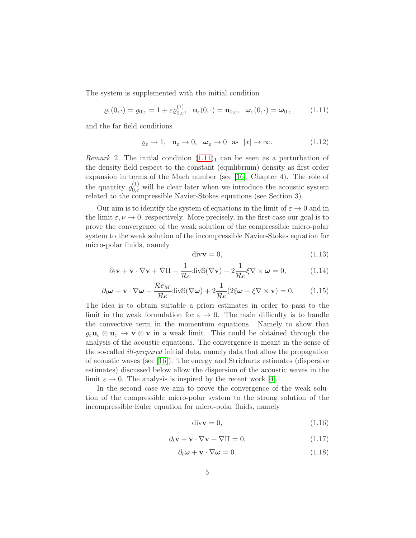The system is supplemented with the initial condition

<span id="page-4-0"></span>
$$
\varrho_{\varepsilon}(0,\cdot)=\varrho_{0,\varepsilon}=1+\varepsilon\varrho_{0,\varepsilon}^{(1)},\quad \mathbf{u}_{\varepsilon}(0,\cdot)=\mathbf{u}_{0,\varepsilon},\quad \boldsymbol{\omega}_{\varepsilon}(0,\cdot)=\boldsymbol{\omega}_{0,\varepsilon} \qquad (1.11)
$$

and the far field conditions

<span id="page-4-1"></span>
$$
\varrho_{\varepsilon} \to 1, \quad \mathbf{u}_{\varepsilon} \to 0, \quad \boldsymbol{\omega}_{\varepsilon} \to 0 \quad \text{as} \quad |x| \to \infty. \tag{1.12}
$$

*Remark* 2. The initial condition  $(1.11)<sub>1</sub>$  can be seen as a perturbation of the density field respect to the constant (equilibrium) density as first order expansion in terms of the Mach number (see [\[16\]](#page-34-4), Chapter 4). The role of the quantity  $\varrho_{0,\varepsilon}^{(1)}$  will be clear later when we introduce the acoustic system related to the compressible Navier-Stokes equations (see Section 3).

Our aim is to identify the system of equations in the limit of  $\varepsilon \to 0$  and in the limit  $\varepsilon, \nu \to 0$ , respectively. More precisely, in the first case our goal is to prove the convergence of the weak solution of the compressible micro-polar system to the weak solution of the incompressible Navier-Stokes equation for micro-polar fluids, namely

<span id="page-4-2"></span>
$$
\text{div}\mathbf{v} = 0,\tag{1.13}
$$

$$
\partial_t \mathbf{v} + \mathbf{v} \cdot \nabla \mathbf{v} + \nabla \Pi - \frac{1}{\mathcal{R}e} \text{div} \mathbb{S}(\nabla \mathbf{v}) - 2 \frac{1}{\mathcal{R}e} \xi \nabla \times \boldsymbol{\omega} = 0, \quad (1.14)
$$

<span id="page-4-3"></span>
$$
\partial_t \boldsymbol{\omega} + \mathbf{v} \cdot \nabla \boldsymbol{\omega} - \frac{\mathcal{R}e_M}{\mathcal{R}e} \text{div} \mathbb{S}(\nabla \boldsymbol{\omega}) + 2 \frac{1}{\mathcal{R}e} (2\xi \boldsymbol{\omega} - \xi \nabla \times \mathbf{v}) = 0. \quad (1.15)
$$

The idea is to obtain suitable a priori estimates in order to pass to the limit in the weak formulation for  $\varepsilon \to 0$ . The main difficulty is to handle the convective term in the momentum equations. Namely to show that  $\varrho_{\varepsilon}u_{\varepsilon}\otimes u_{\varepsilon}\to v\otimes v$  in a weak limit. This could be obtained through the analysis of the acoustic equations. The convergence is meant in the sense of the so-called *ill-prepared* initial data, namely data that allow the propagation of acoustic waves (see [\[16\]](#page-34-4)). The energy and Strichartz estimates (dispersive estimates) discussed below allow the dispersion of the acoustic waves in the limit  $\varepsilon \to 0$ . The analysis is inspired by the recent work [\[4\]](#page-33-7).

In the second case we aim to prove the convergence of the weak solution of the compressible micro-polar system to the strong solution of the incompressible Euler equation for micro-polar fluids, namely

<span id="page-4-4"></span>
$$
\text{div}\mathbf{v} = 0,\tag{1.16}
$$

$$
\partial_t \mathbf{v} + \mathbf{v} \cdot \nabla \mathbf{v} + \nabla \Pi = 0, \tag{1.17}
$$

<span id="page-4-5"></span>
$$
\partial_t \omega + \mathbf{v} \cdot \nabla \omega = 0. \tag{1.18}
$$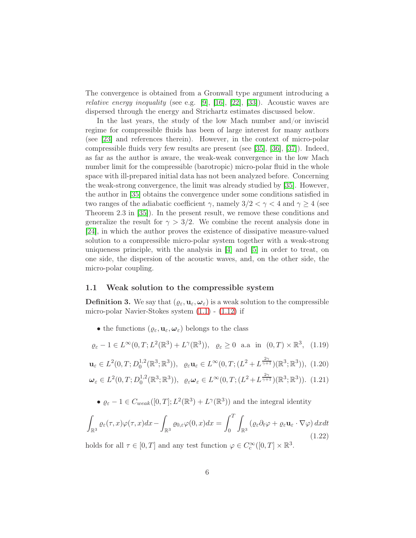The convergence is obtained from a Gronwall type argument introducing a *relative energy inequality* (see e.g. [\[9\]](#page-33-8), [\[16\]](#page-34-4), [\[22\]](#page-34-5), [\[33\]](#page-35-8)). Acoustic waves are dispersed through the energy and Strichartz estimates discussed below.

In the last years, the study of the low Mach number and/or inviscid regime for compressible fluids has been of large interest for many authors (see [\[23\]](#page-34-6) and references therein). However, in the context of micro-polar compressible fluids very few results are present (see [\[35\]](#page-35-4), [\[36\]](#page-35-5), [\[37\]](#page-35-6)). Indeed, as far as the author is aware, the weak-weak convergence in the low Mach number limit for the compressible (barotropic) micro-polar fluid in the whole space with ill-prepared initial data has not been analyzed before. Concerning the weak-strong convergence, the limit was already studied by [\[35\]](#page-35-4). However, the author in [\[35\]](#page-35-4) obtains the convergence under some conditions satisfied in two ranges of the adiabatic coefficient  $\gamma$ , namely  $3/2 < \gamma < 4$  and  $\gamma \ge 4$  (see Theorem 2.3 in [\[35\]](#page-35-4)). In the present result, we remove these conditions and generalize the result for  $\gamma > 3/2$ . We combine the recent analysis done in [\[24\]](#page-34-1), in which the author proves the existence of dissipative measure-valued solution to a compressible micro-polar system together with a weak-strong uniqueness principle, with the analysis in [\[4\]](#page-33-7) and [\[5\]](#page-33-9) in order to treat, on one side, the dispersion of the acoustic waves, and, on the other side, the micro-polar coupling.

#### <span id="page-5-0"></span>1.1 Weak solution to the compressible system

<span id="page-5-1"></span>**Definition 3.** We say that  $(\varrho_{\varepsilon}, \mathbf{u}_{\varepsilon}, \boldsymbol{\omega}_{\varepsilon})$  is a weak solution to the compressible micro-polar Navier-Stokes system [\(1.1\)](#page-2-1) - [\(1.12\)](#page-4-1) if

• the functions  $(\varrho_{\varepsilon}, \mathbf{u}_{\varepsilon}, \boldsymbol{\omega}_{\varepsilon})$  belongs to the class

$$
\varrho_{\varepsilon} - 1 \in L^{\infty}(0, T; L^{2}(\mathbb{R}^{3}) + L^{\gamma}(\mathbb{R}^{3})), \quad \varrho_{\varepsilon} \ge 0 \quad \text{a.a. in} \quad (0, T) \times \mathbb{R}^{3}, \tag{1.19}
$$

$$
\mathbf{u}_{\varepsilon} \in L^{2}(0,T; D_{0}^{1,2}(\mathbb{R}^{3}; \mathbb{R}^{3})), \quad \varrho_{\varepsilon} \mathbf{u}_{\varepsilon} \in L^{\infty}(0,T; (L^{2} + L^{\frac{2\gamma}{\gamma+1}})(\mathbb{R}^{3}; \mathbb{R}^{3})), \tag{1.20}
$$

$$
\boldsymbol{\omega}_{\varepsilon} \in L^{2}(0,T; D_{0}^{1,2}(\mathbb{R}^{3}; \mathbb{R}^{3})), \ \ \varrho_{\varepsilon} \boldsymbol{\omega}_{\varepsilon} \in L^{\infty}(0,T; (L^{2} + L^{\frac{2\gamma}{\gamma+1}})(\mathbb{R}^{3}; \mathbb{R}^{3})). \tag{1.21}
$$

•  $\varrho_{\varepsilon} - 1 \in C_{weak}([0, T]; L^2(\mathbb{R}^3) + L^{\gamma}(\mathbb{R}^3))$  and the integral identity

<span id="page-5-2"></span>
$$
\int_{\mathbb{R}^3} \varrho_{\varepsilon}(\tau, x) \varphi(\tau, x) dx - \int_{\mathbb{R}^3} \varrho_{0, \varepsilon} \varphi(0, x) dx = \int_0^T \int_{\mathbb{R}^3} \left( \varrho_{\varepsilon} \partial_t \varphi + \varrho_{\varepsilon} \mathbf{u}_{\varepsilon} \cdot \nabla \varphi \right) dx dt
$$
\n(1.22)

holds for all  $\tau \in [0, T]$  and any test function  $\varphi \in C_c^{\infty}([0, T] \times \mathbb{R}^3)$ .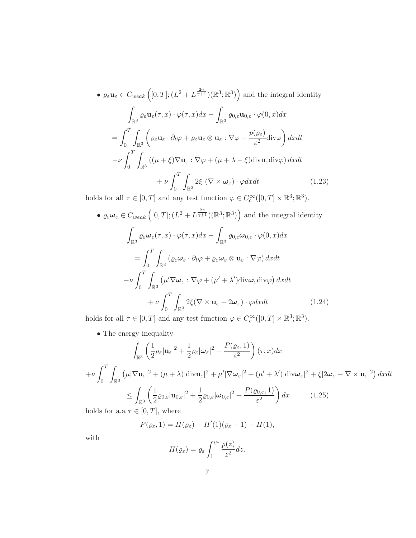$$
\bullet \varrho_{\varepsilon} \mathbf{u}_{\varepsilon} \in C_{weak} \left( [0, T]; (L^2 + L^{\frac{2\gamma}{\gamma+1}}) (\mathbb{R}^3; \mathbb{R}^3) \right) \text{ and the integral identity}
$$

$$
\int_{\mathbb{R}^3} \varrho_{\varepsilon} \mathbf{u}_{\varepsilon}(\tau, x) \cdot \varphi(\tau, x) dx - \int_{\mathbb{R}^3} \varrho_{0,\varepsilon} \mathbf{u}_{0,\varepsilon} \cdot \varphi(0, x) dx
$$

$$
= \int_0^T \int_{\mathbb{R}^3} \left( \varrho_{\varepsilon} \mathbf{u}_{\varepsilon} \cdot \partial_t \varphi + \varrho_{\varepsilon} \mathbf{u}_{\varepsilon} \otimes \mathbf{u}_{\varepsilon} : \nabla \varphi + \frac{p(\varrho_{\varepsilon})}{\varepsilon^2} \text{div} \varphi \right) dx dt
$$

$$
- \nu \int_0^T \int_{\mathbb{R}^3} \left( (\mu + \xi) \nabla \mathbf{u}_{\varepsilon} : \nabla \varphi + (\mu + \lambda - \xi) \text{div} \mathbf{u}_{\varepsilon} \text{div} \varphi \right) dx dt
$$

$$
+ \nu \int_0^T \int_{\mathbb{R}^3} 2\xi \left( \nabla \times \omega_{\varepsilon} \right) \cdot \varphi dx dt \qquad (1.23)
$$

holds for all  $\tau \in [0, T]$  and any test function  $\varphi \in C_c^{\infty}([0, T] \times \mathbb{R}^3; \mathbb{R}^3)$ .

<span id="page-6-1"></span>
$$
\bullet \varrho_{\varepsilon} \omega_{\varepsilon} \in C_{weak} \left( [0, T]; (L^{2} + L^{\frac{2\gamma}{\gamma+1}}) (\mathbb{R}^{3}; \mathbb{R}^{3}) \right) \text{ and the integral identity}
$$

$$
\int_{\mathbb{R}^{3}} \varrho_{\varepsilon} \omega_{\varepsilon} (\tau, x) \cdot \varphi(\tau, x) dx - \int_{\mathbb{R}^{3}} \varrho_{0, \varepsilon} \omega_{0, \varepsilon} \cdot \varphi(0, x) dx
$$

$$
= \int_{0}^{T} \int_{\mathbb{R}^{3}} (\varrho_{\varepsilon} \omega_{\varepsilon} \cdot \partial_{t} \varphi + \varrho_{\varepsilon} \omega_{\varepsilon} \otimes \mathbf{u}_{\varepsilon} : \nabla \varphi) dx dt
$$

$$
- \nu \int_{0}^{T} \int_{\mathbb{R}^{3}} (\mu' \nabla \omega_{\varepsilon} : \nabla \varphi + (\mu' + \lambda') \text{div} \omega_{\varepsilon} \text{div} \varphi) dx dt
$$

$$
+ \nu \int_{0}^{T} \int_{\mathbb{R}^{3}} 2\xi (\nabla \times \mathbf{u}_{\varepsilon} - 2\omega_{\varepsilon}) \cdot \varphi dx dt \qquad (1.24)
$$

holds for all  $\tau \in [0, T]$  and any test function  $\varphi \in C_c^{\infty}([0, T] \times \mathbb{R}^3; \mathbb{R}^3)$ .

<span id="page-6-2"></span> $\bullet$  The energy inequality

$$
\int_{\mathbb{R}^3} \left( \frac{1}{2} \varrho_{\varepsilon} |\mathbf{u}_{\varepsilon}|^2 + \frac{1}{2} \varrho_{\varepsilon} |\omega_{\varepsilon}|^2 + \frac{P(\varrho_{\varepsilon}, 1)}{\varepsilon^2} \right) (\tau, x) dx
$$
\n
$$
+ \nu \int_0^T \int_{\mathbb{R}^3} \left( \mu |\nabla \mathbf{u}_{\varepsilon}|^2 + (\mu + \lambda) |\text{div} \mathbf{u}_{\varepsilon}|^2 + \mu' |\nabla \omega_{\varepsilon}|^2 + (\mu' + \lambda') |\text{div} \omega_{\varepsilon}|^2 + \xi |2\omega_{\varepsilon} - \nabla \times \mathbf{u}_{\varepsilon}|^2 \right) dx dt
$$
\n
$$
\leq \int_{\mathbb{R}^3} \left( \frac{1}{2} \varrho_{0,\varepsilon} |\mathbf{u}_{0,\varepsilon}|^2 + \frac{1}{2} \varrho_{0,\varepsilon} |\omega_{0,\varepsilon}|^2 + \frac{P(\varrho_{0,\varepsilon}, 1)}{\varepsilon^2} \right) dx \qquad (1.25)
$$

holds for a.a  $\tau \in [0, T]$ , where

<span id="page-6-0"></span>
$$
P(\varrho_{\varepsilon},1)=H(\varrho_{\varepsilon})-H'(1)(\varrho_{\varepsilon}-1)-H(1),
$$

with

$$
H(\varrho_{\varepsilon}) = \varrho_{\varepsilon} \int_{1}^{\varrho_{\varepsilon}} \frac{p(z)}{z^2} dz.
$$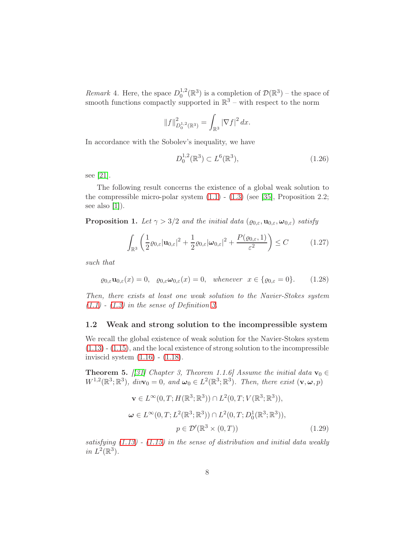Remark 4. Here, the space  $D_0^{1,2}$  $\mathcal{D}^{1,2}(\mathbb{R}^3)$  is a completion of  $\mathcal{D}(\mathbb{R}^3)$  – the space of smooth functions compactly supported in  $\mathbb{R}^3$  – with respect to the norm

$$
||f||_{D_0^{1,2}(\mathbb{R}^3)}^2 = \int_{\mathbb{R}^3} |\nabla f|^2 dx.
$$

In accordance with the Sobolev's inequality, we have

<span id="page-7-1"></span>
$$
D_0^{1,2}(\mathbb{R}^3) \subset L^6(\mathbb{R}^3),\tag{1.26}
$$

see [\[21\]](#page-34-7).

The following result concerns the existence of a global weak solution to the compressible micro-polar system  $(1.1)$  -  $(1.3)$  (see [\[35\]](#page-35-4), Proposition 2.2; see also  $[1]$ ).

**Proposition 1.** Let  $\gamma > 3/2$  and the initial data  $(\varrho_{0,\varepsilon}, \mathbf{u}_{0,\varepsilon}, \boldsymbol{\omega}_{0,\varepsilon})$  satisfy

$$
\int_{\mathbb{R}^3} \left( \frac{1}{2} \varrho_{0,\varepsilon} |\mathbf{u}_{0,\varepsilon}|^2 + \frac{1}{2} \varrho_{0,\varepsilon} |\boldsymbol{\omega}_{0,\varepsilon}|^2 + \frac{P(\varrho_{0,\varepsilon}, 1)}{\varepsilon^2} \right) \leq C \tag{1.27}
$$

such that

$$
\varrho_{0,\varepsilon}\mathbf{u}_{0,\varepsilon}(x) = 0, \quad \varrho_{0,\varepsilon}\omega_{0,\varepsilon}(x) = 0, \quad \text{whenever} \quad x \in \{\varrho_{0,\varepsilon} = 0\}. \tag{1.28}
$$

Then, there exists at least one weak solution to the Navier-Stokes system  $(1.1)$  -  $(1.3)$  in the sense of Definition [3.](#page-5-1)

#### <span id="page-7-0"></span>1.2 Weak and strong solution to the incompressible system

We recall the global existence of weak solution for the Navier-Stokes system [\(1.13\)](#page-4-2) - [\(1.15\)](#page-4-3), and the local existence of strong solution to the incompressible inviscid system [\(1.16\)](#page-4-4) - [\(1.18\)](#page-4-5).

**Theorem 5.** [[\[31\]](#page-35-0) Chapter 3, Theorem 1.1.6] Assume the initial data  $\mathbf{v}_0 \in$  $W^{1,2}(\mathbb{R}^3;\mathbb{R}^3)$ ,  $div\mathbf{v}_0 = 0$ , and  $\boldsymbol{\omega}_0 \in L^2(\mathbb{R}^3;\mathbb{R}^3)$ . Then, there exist  $(\mathbf{v}, \boldsymbol{\omega}, p)$ 

$$
\mathbf{v} \in L^{\infty}(0, T; H(\mathbb{R}^3; \mathbb{R}^3)) \cap L^2(0, T; V(\mathbb{R}^3; \mathbb{R}^3)),
$$
  

$$
\boldsymbol{\omega} \in L^{\infty}(0, T; L^2(\mathbb{R}^3; \mathbb{R}^3)) \cap L^2(0, T; D_0^1(\mathbb{R}^3; \mathbb{R}^3)),
$$
  

$$
p \in \mathcal{D}'(\mathbb{R}^3 \times (0, T))
$$
 (1.29)

satisfying  $(1.13)$  -  $(1.15)$  in the sense of distribution and initial data weakly in  $L^2(\mathbb{R}^3)$ .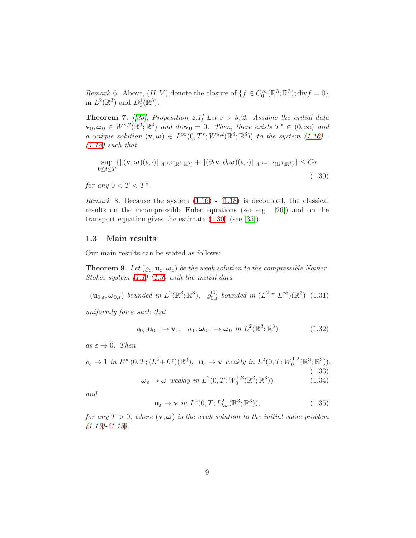Remark 6. Above,  $(H, V)$  denote the closure of  $\{f \in C_0^{\infty}(\mathbb{R}^3; \mathbb{R}^3); \text{div} f = 0\}$ in  $L^2(\mathbb{R}^3)$  and  $D_0^1(\mathbb{R}^3)$ .

**Theorem 7.** [[\[35\]](#page-35-4), Proposition 2.1] Let  $s > 5/2$ . Assume the initial data  $\mathbf{v}_0, \boldsymbol{\omega}_0 \in W^{s,2}(\mathbb{R}^3;\mathbb{R}^3)$  and div $\mathbf{v}_0 = 0$ . Then, there exists  $T^* \in (0,\infty)$  and a unique solution  $(\mathbf{v}, \boldsymbol{\omega}) \in L^{\infty}(0, T^*; W^{s,2}(\mathbb{R}^3; \mathbb{R}^3))$  to the system  $(1.16)$ .  $(1.18)$  such that

<span id="page-8-1"></span>
$$
\sup_{0\leq t\leq T} \{ \left\| (\mathbf{v}, \boldsymbol{\omega})(t, \cdot) \right\|_{W^{s,2}(\mathbb{R}^3; \mathbb{R}^3)} + \left\| (\partial_t \mathbf{v}, \partial_t \boldsymbol{\omega})(t, \cdot) \right\|_{W^{s-1,2}(\mathbb{R}^3; \mathbb{R}^3)} \} \leq C_T
$$
\n(1.30)

for any  $0 < T < T^*$ .

*Remark* 8. Because the system  $(1.16)$  -  $(1.18)$  is decoupled, the classical results on the incompressible Euler equations (see e.g. [\[26\]](#page-35-9)) and on the transport equation gives the estimate [\(1.30\)](#page-8-1) (see [\[35\]](#page-35-4)).

### <span id="page-8-0"></span>1.3 Main results

Our main results can be stated as follows:

<span id="page-8-2"></span>**Theorem 9.** Let  $(\varrho_{\varepsilon}, \mathbf{u}_{\varepsilon}, \boldsymbol{\omega}_{\varepsilon})$  be the weak solution to the compressible Navier-Stokes system  $(1.1)$ - $(1.3)$  with the initial data

 $(\mathbf{u}_{0,\varepsilon}, \boldsymbol{\omega}_{0,\varepsilon})$  bounded in  $L^2(\mathbb{R}^3; \mathbb{R}^3)$ ,  $\varrho_{0,\varepsilon}^{(1)}$  bounded in  $(L^2 \cap L^{\infty})(\mathbb{R}^3)$  (1.31)

uniformly for  $\varepsilon$  such that

$$
\varrho_{0,\varepsilon}\mathbf{u}_{0,\varepsilon} \to \mathbf{v}_0, \quad \varrho_{0,\varepsilon}\omega_{0,\varepsilon} \to \omega_0 \text{ in } L^2(\mathbb{R}^3; \mathbb{R}^3) \tag{1.32}
$$

as  $\varepsilon \to 0$ . Then

$$
\varrho_{\varepsilon} \to 1 \text{ in } L^{\infty}(0, T; (L^2 + L^{\gamma})(\mathbb{R}^3), \quad \mathbf{u}_{\varepsilon} \to \mathbf{v} \text{ weakly in } L^2(0, T; W_0^{1,2}(\mathbb{R}^3; \mathbb{R}^3)),
$$
\n
$$
\omega_{\varepsilon} \to \omega \text{ weakly in } L^2(0, T; W_0^{1,2}(\mathbb{R}^3; \mathbb{R}^3)) \tag{1.34}
$$

and

$$
\mathbf{u}_{\varepsilon} \to \mathbf{v} \text{ in } L^2(0, T; L^2_{loc}(\mathbb{R}^3; \mathbb{R}^3)), \tag{1.35}
$$

for any  $T > 0$ , where  $(v, \omega)$  is the weak solution to the initial value problem  $(1.13)-(1.15).$  $(1.13)-(1.15).$  $(1.13)-(1.15).$  $(1.13)-(1.15).$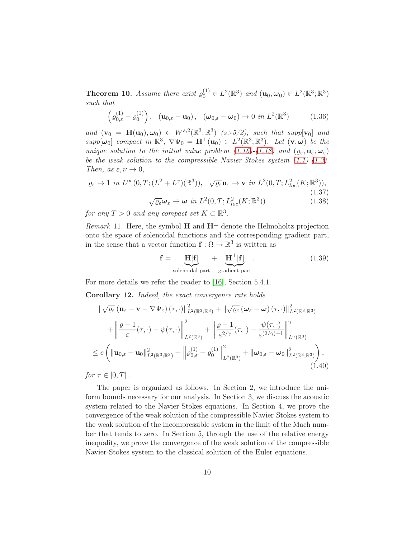<span id="page-9-0"></span>**Theorem 10.** Assume there exist  $\varrho_0^{(1)} \in L^2(\mathbb{R}^3)$  and  $(\mathbf{u}_0, \boldsymbol{\omega}_0) \in L^2(\mathbb{R}^3; \mathbb{R}^3)$ such that

<span id="page-9-4"></span>
$$
\left(\varrho_{0,\varepsilon}^{(1)}-\varrho_0^{(1)}\right), \quad \left(\mathbf{u}_{0,\varepsilon}-\mathbf{u}_0\right), \quad \left(\boldsymbol{\omega}_{0,\varepsilon}-\boldsymbol{\omega}_0\right) \to 0 \ \ in \ L^2(\mathbb{R}^3) \tag{1.36}
$$

and  $(\mathbf{v}_0 = \mathbf{H}(\mathbf{u}_0), \boldsymbol{\omega}_0) \in W^{s,2}(\mathbb{R}^3; \mathbb{R}^3)$  (s>5/2), such that supp[ $\mathbf{v}_0$ ] and  $supp[\omega_0]$  compact in  $\mathbb{R}^3$ ,  $\nabla \Psi_0 = \mathbf{H}^{\perp}(\mathbf{u}_0) \in L^2(\mathbb{R}^3; \mathbb{R}^3)$ . Let  $(\mathbf{v}, \omega)$  be the unique solution to the initial value problem [\(1.16\)](#page-4-4)-[\(1.18\)](#page-4-5) and  $(\varrho_{\varepsilon}, \mathbf{u}_{\varepsilon}, \boldsymbol{\omega}_{\varepsilon})$ be the weak solution to the compressible Navier-Stokes system  $(1.1)$ - $(1.3)$ . Then, as  $\varepsilon, \nu \to 0$ ,

$$
\varrho_{\varepsilon} \to 1 \text{ in } L^{\infty}(0,T;(L^{2}+L^{\gamma})(\mathbb{R}^{3})), \quad \sqrt{\varrho_{\varepsilon}}\mathbf{u}_{\varepsilon} \to \mathbf{v} \text{ in } L^{2}(0,T;L^{2}_{loc}(K;\mathbb{R}^{3})),
$$
\n
$$
\sqrt{\varrho_{\varepsilon}}\mathbf{\omega}_{\varepsilon} \to \omega \text{ in } L^{2}(0,T;L^{2}_{loc}(K;\mathbb{R}^{3})) \tag{1.38}
$$

for any  $T > 0$  and any compact set  $K \subset \mathbb{R}^3$ .

*Remark* 11. Here, the symbol **H** and  $H^{\perp}$  denote the Helmoholtz projection onto the space of solenoidal functions and the corresponding gradient part, in the sense that a vector function  $f: \Omega \to \mathbb{R}^3$  is written as

<span id="page-9-1"></span>
$$
\mathbf{f} = \underbrace{\mathbf{H}[\mathbf{f}]}_{\text{solenoidal part}} + \underbrace{\mathbf{H}^{\perp}[\mathbf{f}]}_{\text{gradient part}}.
$$
 (1.39)

For more details we refer the reader to [\[16\]](#page-34-4), Section 5.4.1.

<span id="page-9-3"></span>Corollary 12. Indeed, the exact convergence rate holds

$$
\|\sqrt{\varrho_{\varepsilon}}\left(\mathbf{u}_{\varepsilon}-\mathbf{v}-\nabla\Psi_{\varepsilon}\right)(\tau,\cdot)\|_{L^{2}(\mathbb{R}^{3};\mathbb{R}^{3})}^{2}+\|\sqrt{\varrho_{\varepsilon}}\left(\boldsymbol{\omega}_{\varepsilon}-\boldsymbol{\omega}\right)(\tau,\cdot)\|_{L^{2}(\mathbb{R}^{3};\mathbb{R}^{3})}^{2} \n+\left\|\frac{\varrho-1}{\varepsilon}(\tau,\cdot)-\psi(\tau,\cdot)\right\|_{L^{2}(\mathbb{R}^{3})}^{2}+\left\|\frac{\varrho-1}{\varepsilon^{2/\gamma}}(\tau,\cdot)-\frac{\psi(\tau,\cdot)}{\varepsilon^{(2/\gamma)-1}}\right\|_{L^{\gamma}(\mathbb{R}^{3})}^{\gamma} \n\leq c\left(\|\mathbf{u}_{0,\varepsilon}-\mathbf{u}_{0}\|_{L^{2}(\mathbb{R}^{3};\mathbb{R}^{3})}^{2}+\left\|\varrho_{0,\varepsilon}^{(1)}-\varrho_{0}^{(1)}\right\|_{L^{2}(\mathbb{R}^{3})}^{2}+\|\boldsymbol{\omega}_{0,\varepsilon}-\boldsymbol{\omega}_{0}\|_{L^{2}(\mathbb{R}^{3};\mathbb{R}^{3})}^{2}\right),\n\tag{1.40}
$$

<span id="page-9-2"></span>for  $\tau \in [0, T]$ .

The paper is organized as follows. In Section 2, we introduce the uniform bounds necessary for our analysis. In Section 3, we discuss the acoustic system related to the Navier-Stokes equations. In Section 4, we prove the convergence of the weak solution of the compressible Navier-Stokes system to the weak solution of the incompressible system in the limit of the Mach number that tends to zero. In Section 5, through the use of the relative energy inequality, we prove the convergence of the weak solution of the compressible Navier-Stokes system to the classical solution of the Euler equations.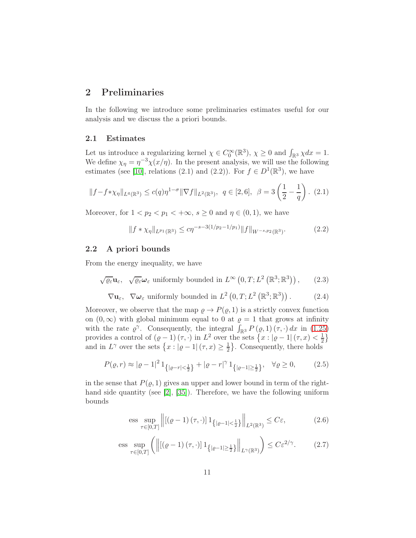## <span id="page-10-0"></span>2 Preliminaries

In the following we introduce some preliminaries estimates useful for our analysis and we discuss the a priori bounds.

#### <span id="page-10-1"></span>2.1 Estimates

Let us introduce a regularizing kernel  $\chi \in C_0^{\infty}(\mathbb{R}^3)$ ,  $\chi \ge 0$  and  $\int_{\mathbb{R}^3} \chi dx = 1$ . We define  $\chi_{\eta} = \eta^{-3} \chi(x/\eta)$ . In the present analysis, we will use the following estimates (see [\[10\]](#page-33-10), relations (2.1) and (2.2)). For  $f \in D^1(\mathbb{R}^3)$ , we have

<span id="page-10-7"></span>
$$
||f - f * \chi_{\eta}||_{L^{q}(\mathbb{R}^{3})} \le c(q)\eta^{1-\sigma} ||\nabla f||_{L^{2}(\mathbb{R}^{3})}, \quad q \in [2, 6], \quad \beta = 3\left(\frac{1}{2} - \frac{1}{q}\right). \tag{2.1}
$$

Moreover, for  $1 < p_2 < p_1 < +\infty$ ,  $s \geq 0$  and  $\eta \in (0,1)$ , we have

<span id="page-10-8"></span>
$$
||f * \chi_{\eta}||_{L^{p_1}(\mathbb{R}^3)} \le c\eta^{-s-3(1/p_2 - 1/p_1)} ||f||_{W^{-s,p_2}(\mathbb{R}^3)}.
$$
 (2.2)

#### <span id="page-10-2"></span>2.2 A priori bounds

From the energy inequality, we have

<span id="page-10-3"></span>
$$
\sqrt{\varrho_{\varepsilon}}\mathbf{u}_{\varepsilon}, \quad \sqrt{\varrho_{\varepsilon}}\boldsymbol{\omega}_{\varepsilon}
$$
 uniformly bounded in  $L^{\infty}\left(0, T; L^{2}\left(\mathbb{R}^{3}; \mathbb{R}^{3}\right)\right)$ , (2.3)

<span id="page-10-6"></span> $\nabla \mathbf{u}_{\varepsilon}$ ,  $\nabla \boldsymbol{\omega}_{\varepsilon}$  uniformly bounded in  $L^2(0,T;L^2(\mathbb{R}^3;\mathbb{R}^3))$  $(2.4)$ 

Moreover, we observe that the map  $\rho \to P(\rho, 1)$  is a strictly convex function on  $(0, \infty)$  with global minimum equal to 0 at  $\varrho = 1$  that grows at infinity with the rate  $\varrho^{\gamma}$ . Consequently, the integral  $\int_{\mathbb{R}^3} P(\varrho,1)(\tau,\cdot) dx$  in [\(1.25\)](#page-6-0) provides a control of  $(\varrho - 1)(\tau, \cdot)$  in  $L^2$  over the sets  $\{x : |\varrho - 1|(\tau, x) < \frac{1}{2}\}$  $rac{1}{2}$ and in  $L^{\gamma}$  over the sets  $\{x : |\varrho - 1| (\tau, x) \geq \frac{1}{2}\}$  $\frac{1}{2}$ . Consequently, there holds

$$
P(\varrho, r) \approx |\varrho - 1|^2 1_{\{|\varrho - r| < \frac{1}{2}\}} + |\varrho - r|^\gamma 1_{\{|\varrho - 1| \ge \frac{1}{2}\}}, \quad \forall \varrho \ge 0,\tag{2.5}
$$

in the sense that  $P(\rho, 1)$  gives an upper and lower bound in term of the right-hand side quantity (see [\[2\]](#page-33-11), [\[35\]](#page-35-4)). Therefore, we have the following uniform bounds

<span id="page-10-4"></span>ess sup 
$$
\underset{\tau \in [0,T]}{\sup} \left\| \left[ (\varrho - 1) \left( \tau, \cdot \right) \right] \mathbb{1}_{\left\{ |\varrho - 1| < \frac{1}{2} \right\}} \right\|_{L^2(\mathbb{R}^3)} \leq C \varepsilon,
$$
 (2.6)

<span id="page-10-5"></span>ess sup<sub>$$
\tau \in [0,T]
$$</sub>  $\left( \left\| \left[ (\varrho - 1) (\tau, \cdot) \right] 1_{\{|\varrho - 1| \ge \frac{1}{2}\}} \right\|_{L^{\gamma}(\mathbb{R}^3)} \right) \le C \varepsilon^{2/\gamma}.$  (2.7)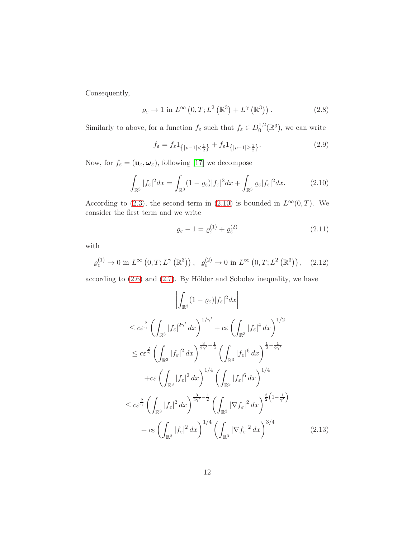Consequently,

<span id="page-11-2"></span>
$$
\varrho_{\varepsilon} \to 1 \text{ in } L^{\infty}\left(0, T; L^{2}\left(\mathbb{R}^{3}\right) + L^{\gamma}\left(\mathbb{R}^{3}\right)\right). \tag{2.8}
$$

Similarly to above, for a function  $f_{\varepsilon}$  such that  $f_{\varepsilon} \in D_0^{1,2}$  $_0^{1,2}(\mathbb{R}^3)$ , we can write

<span id="page-11-3"></span>
$$
f_{\varepsilon} = f_{\varepsilon} 1_{\{|{\varrho}-1| < \frac{1}{2}\}} + f_{\varepsilon} 1_{\{|{\varrho}-1| \ge \frac{1}{2}\}}.\tag{2.9}
$$

Now, for  $f_{\varepsilon} = (\mathbf{u}_{\varepsilon}, \boldsymbol{\omega}_{\varepsilon})$ , following [\[17\]](#page-34-8) we decompose

<span id="page-11-0"></span>
$$
\int_{\mathbb{R}^3} |f_{\varepsilon}|^2 dx = \int_{\mathbb{R}^3} (1 - \varrho_{\varepsilon}) |f_{\varepsilon}|^2 dx + \int_{\mathbb{R}^3} \varrho_{\varepsilon} |f_{\varepsilon}|^2 dx. \tag{2.10}
$$

According to [\(2.3\)](#page-10-3), the second term in [\(2.10\)](#page-11-0) is bounded in  $L^{\infty}(0,T)$ . We consider the first term and we write

$$
\varrho_{\varepsilon} - 1 = \varrho_{\varepsilon}^{(1)} + \varrho_{\varepsilon}^{(2)} \tag{2.11}
$$

with

$$
\varrho_{\varepsilon}^{(1)} \to 0 \text{ in } L^{\infty}\left(0, T; L^{\gamma}\left(\mathbb{R}^{3}\right)\right), \quad \varrho_{\varepsilon}^{(2)} \to 0 \text{ in } L^{\infty}\left(0, T; L^{2}\left(\mathbb{R}^{3}\right)\right), \quad (2.12)
$$

according to [\(2.6\)](#page-10-4) and [\(2.7\)](#page-10-5). By Hölder and Sobolev inequality, we have

<span id="page-11-1"></span>
$$
\left| \int_{\mathbb{R}^3} (1 - \varrho_{\varepsilon}) |f_{\varepsilon}|^2 dx \right|
$$
  
\n
$$
\leq c \varepsilon^{\frac{2}{\gamma}} \left( \int_{\mathbb{R}^3} |f_{\varepsilon}|^{2\gamma'} dx \right)^{1/\gamma'} + c \varepsilon \left( \int_{\mathbb{R}^3} |f_{\varepsilon}|^4 dx \right)^{1/2}
$$
  
\n
$$
\leq c \varepsilon^{\frac{2}{\gamma}} \left( \int_{\mathbb{R}^3} |f_{\varepsilon}|^2 dx \right)^{\frac{3}{2\gamma'} - \frac{1}{2}} \left( \int_{\mathbb{R}^3} |f_{\varepsilon}|^6 dx \right)^{\frac{1}{2} - \frac{1}{2\gamma'}}
$$
  
\n
$$
+ c \varepsilon \left( \int_{\mathbb{R}^3} |f_{\varepsilon}|^2 dx \right)^{1/4} \left( \int_{\mathbb{R}^3} |f_{\varepsilon}|^6 dx \right)^{1/4}
$$
  
\n
$$
\leq c \varepsilon^{\frac{2}{\gamma}} \left( \int_{\mathbb{R}^3} |f_{\varepsilon}|^2 dx \right)^{\frac{3}{2\gamma'} - \frac{1}{2}} \left( \int_{\mathbb{R}^3} |\nabla f_{\varepsilon}|^2 dx \right)^{\frac{3}{2} (1 - \frac{1}{\gamma'})}
$$
  
\n
$$
+ c \varepsilon \left( \int_{\mathbb{R}^3} |f_{\varepsilon}|^2 dx \right)^{1/4} \left( \int_{\mathbb{R}^3} |\nabla f_{\varepsilon}|^2 dx \right)^{3/4}
$$
(2.13)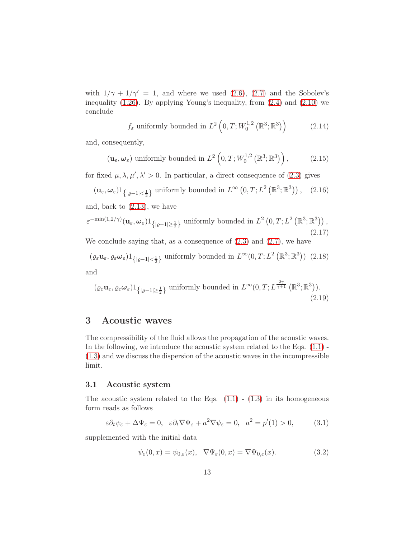with  $1/\gamma + 1/\gamma' = 1$ , and where we used [\(2.6\)](#page-10-4), [\(2.7\)](#page-10-5) and the Sobolev's inequality [\(1.26\)](#page-7-1). By applying Young's inequality, from [\(2.4\)](#page-10-6) and [\(2.10\)](#page-11-0) we conclude

$$
f_{\varepsilon}
$$
 uniformly bounded in  $L^2\left(0, T; W_0^{1,2}\left(\mathbb{R}^3; \mathbb{R}^3\right)\right)$  (2.14)

and, consequently,

<span id="page-12-4"></span>
$$
(\mathbf{u}_{\varepsilon}, \boldsymbol{\omega}_{\varepsilon})
$$
 uniformly bounded in  $L^2\left(0, T; W_0^{1,2}\left(\mathbb{R}^3; \mathbb{R}^3\right)\right)$ , (2.15)

for fixed  $\mu$ ,  $\lambda$ ,  $\mu'$ ,  $\lambda' > 0$ . In particular, a direct consequence of [\(2.3\)](#page-10-3) gives

<span id="page-12-5"></span>
$$
(\mathbf{u}_{\varepsilon}, \boldsymbol{\omega}_{\varepsilon}) \mathbb{1}_{\{|{\varrho}-1|<\frac{1}{2}\}} \text{ uniformly bounded in } L^{\infty}\left(0, T; L^{2}\left(\mathbb{R}^{3}; \mathbb{R}^{3}\right)\right), (2.16)
$$

and, back to [\(2.13\)](#page-11-1), we have

<span id="page-12-6"></span>
$$
\varepsilon^{-\min(1,2/\gamma)}(\mathbf{u}_{\varepsilon},\boldsymbol{\omega}_{\varepsilon})\mathbb{1}_{\{|e-1|\geq\frac{1}{2}\}}\text{ uniformly bounded in }L^{2}\left(0,T;L^{2}\left(\mathbb{R}^{3};\mathbb{R}^{3}\right)\right),\tag{2.17}
$$

We conclude saying that, as a consequence of  $(2.3)$  and  $(2.7)$ , we have

 $(\varrho_{\varepsilon}\mathbf{u}_{\varepsilon}, \varrho_{\varepsilon}\boldsymbol{\omega}_{\varepsilon})\mathbb{1}_{\{|e-1|<\frac{1}{2}\}}$  uniformly bounded in  $L^{\infty}(0,T;L^{2}(\mathbb{R}^{3};\mathbb{R}^{3}))$  (2.18) and

$$
(\varrho_{\varepsilon}\mathbf{u}_{\varepsilon},\varrho_{\varepsilon}\boldsymbol{\omega}_{\varepsilon})\mathbb{1}_{\{|\varrho-1|\geq\frac{1}{2}\}}\text{ uniformly bounded in }L^{\infty}(0,T;L^{\frac{2\gamma}{\gamma+1}}(\mathbb{R}^{3};\mathbb{R}^{3})).
$$
\n(2.19)

## <span id="page-12-0"></span>3 Acoustic waves

The compressibility of the fluid allows the propagation of the acoustic waves. In the following, we introduce the acoustic system related to the Eqs.  $(1.1)$ . [\(1.3\)](#page-2-2) and we discuss the dispersion of the acoustic waves in the incompressible limit.

#### <span id="page-12-1"></span>3.1 Acoustic system

The acoustic system related to the Eqs.  $(1.1)$  -  $(1.3)$  in its homogeneous form reads as follows

<span id="page-12-2"></span>
$$
\varepsilon \partial_t \psi_\varepsilon + \Delta \Psi_\varepsilon = 0, \quad \varepsilon \partial_t \nabla \Psi_\varepsilon + a^2 \nabla \psi_\varepsilon = 0, \quad a^2 = p'(1) > 0,\tag{3.1}
$$

supplemented with the initial data

<span id="page-12-3"></span>
$$
\psi_{\varepsilon}(0,x) = \psi_{0,\varepsilon}(x), \quad \nabla \Psi_{\varepsilon}(0,x) = \nabla \Psi_{0,\varepsilon}(x). \tag{3.2}
$$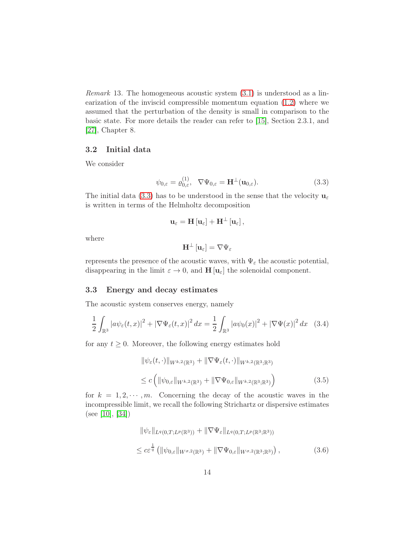*Remark* 13. The homogeneous acoustic system  $(3.1)$  is understood as a linearization of the inviscid compressible momentum equation [\(1.2\)](#page-2-3) where we assumed that the perturbation of the density is small in comparison to the basic state. For more details the reader can refer to [\[15\]](#page-34-9), Section 2.3.1, and [\[27\]](#page-35-10), Chapter 8.

### <span id="page-13-0"></span>3.2 Initial data

We consider

<span id="page-13-2"></span>
$$
\psi_{0,\varepsilon} = \varrho_{0,\varepsilon}^{(1)}, \quad \nabla \Psi_{0,\varepsilon} = \mathbf{H}^{\perp}(\mathbf{u}_{0,\varepsilon}). \tag{3.3}
$$

The initial data [\(3.3\)](#page-13-2) has to be understood in the sense that the velocity  $\mathbf{u}_{\varepsilon}$ is written in terms of the Helmholtz decomposition

$$
\mathbf{u}_{\varepsilon}=\mathbf{H}\left[\mathbf{u}_{\varepsilon}\right]+\mathbf{H}^{\bot}\left[\mathbf{u}_{\varepsilon}\right],
$$

where

$$
\mathbf{H}^{\perp} \left[ \mathbf{u}_{\varepsilon} \right] = \nabla \Psi_{\varepsilon}
$$

represents the presence of the acoustic waves, with  $\Psi_{\varepsilon}$  the acoustic potential, disappearing in the limit  $\varepsilon \to 0$ , and  $\mathbf{H}[\mathbf{u}_{\varepsilon}]$  the solenoidal component.

#### <span id="page-13-1"></span>3.3 Energy and decay estimates

The acoustic system conserves energy, namely

<span id="page-13-3"></span>
$$
\frac{1}{2}\int_{\mathbb{R}^3} |a\psi_{\varepsilon}(t,x)|^2 + |\nabla\Psi_{\varepsilon}(t,x)|^2 dx = \frac{1}{2}\int_{\mathbb{R}^3} |a\psi_0(x)|^2 + |\nabla\Psi(x)|^2 dx \quad (3.4)
$$

for any  $t \geq 0$ . Moreover, the following energy estimates hold

<span id="page-13-4"></span>
$$
\|\psi_{\varepsilon}(t,\cdot)\|_{W^{k,2}(\mathbb{R}^3)} + \|\nabla\Psi_{\varepsilon}(t,\cdot)\|_{W^{k,2}(\mathbb{R}^3;\mathbb{R}^3)}
$$
  

$$
\leq c \left( \|\psi_{0,\varepsilon}\|_{W^{k,2}(\mathbb{R}^3)} + \|\nabla\Psi_{0,\varepsilon}\|_{W^{k,2}(\mathbb{R}^3;\mathbb{R}^3)} \right)
$$
(3.5)

for  $k = 1, 2, \dots, m$ . Concerning the decay of the acoustic waves in the incompressible limit, we recall the following Strichartz or dispersive estimates (see [\[10\]](#page-33-10), [\[34\]](#page-35-11))

$$
\|\psi_{\varepsilon}\|_{L^{q}(0,T;L^{p}(\mathbb{R}^{3}))} + \|\nabla\Psi_{\varepsilon}\|_{L^{q}(0,T;L^{p}(\mathbb{R}^{3};\mathbb{R}^{3}))}
$$
  

$$
\leq c\varepsilon^{\frac{1}{q}} \left( \|\psi_{0,\varepsilon}\|_{W^{\sigma,2}(\mathbb{R}^{3})} + \|\nabla\Psi_{0,\varepsilon}\|_{W^{\sigma,2}(\mathbb{R}^{3};\mathbb{R}^{3})} \right),
$$
 (3.6)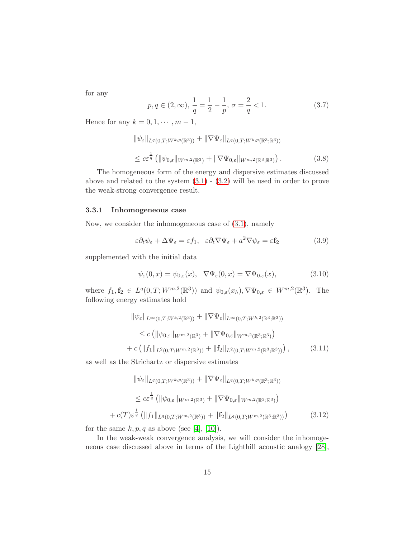for any

$$
p, q \in (2, \infty), \frac{1}{q} = \frac{1}{2} - \frac{1}{p}, \sigma = \frac{2}{q} < 1.
$$
 (3.7)

Hence for any  $k = 0, 1, \dots, m - 1$ ,

<span id="page-14-4"></span>
$$
\|\psi_{\varepsilon}\|_{L^{q}(0,T;W^{k,p}(\mathbb{R}^{3}))} + \|\nabla\Psi_{\varepsilon}\|_{L^{q}(0,T;W^{k,p}(\mathbb{R}^{3};\mathbb{R}^{3}))}
$$
  

$$
\leq c\varepsilon^{\frac{1}{q}} \left( \|\psi_{0,\varepsilon}\|_{W^{m,2}(\mathbb{R}^{3})} + \|\nabla\Psi_{0,\varepsilon}\|_{W^{m,2}(\mathbb{R}^{3};\mathbb{R}^{3})} \right).
$$
 (3.8)

The homogeneous form of the energy and dispersive estimates discussed above and related to the system [\(3.1\)](#page-12-2) - [\(3.2\)](#page-12-3) will be used in order to prove the weak-strong convergence result.

### <span id="page-14-0"></span>3.3.1 Inhomogeneous case

Now, we consider the inhomogeneous case of [\(3.1\)](#page-12-2), namely

<span id="page-14-1"></span>
$$
\varepsilon \partial_t \psi_{\varepsilon} + \Delta \Psi_{\varepsilon} = \varepsilon f_1, \quad \varepsilon \partial_t \nabla \Psi_{\varepsilon} + a^2 \nabla \psi_{\varepsilon} = \varepsilon \mathbf{f}_2 \tag{3.9}
$$

supplemented with the initial data

<span id="page-14-2"></span>
$$
\psi_{\varepsilon}(0,x) = \psi_{0,\varepsilon}(x), \quad \nabla \Psi_{\varepsilon}(0,x) = \nabla \Psi_{0,\varepsilon}(x), \tag{3.10}
$$

where  $f_1, f_2 \in L^q(0,T; W^{m,2}(\mathbb{R}^3))$  and  $\psi_{0,\varepsilon}(x_h), \nabla \Psi_{0,\varepsilon} \in W^{m,2}(\mathbb{R}^3)$ . The following energy estimates hold

$$
\|\psi_{\varepsilon}\|_{L^{\infty}(0,T;W^{k,2}(\mathbb{R}^{3}))} + \|\nabla\Psi_{\varepsilon}\|_{L^{\infty}(0,T;W^{k,2}(\mathbb{R}^{3};\mathbb{R}^{3}))}
$$
  
\n
$$
\leq c \left( \|\psi_{0,\varepsilon}\|_{W^{m,2}(\mathbb{R}^{3})} + \|\nabla\Psi_{0,\varepsilon}\|_{W^{m,2}(\mathbb{R}^{3};\mathbb{R}^{3})} \right)
$$
  
\n
$$
+ c \left( \|f_{1}\|_{L^{2}(0,T;W^{m,2}(\mathbb{R}^{3}))} + \|f_{2}\|_{L^{2}(0,T;W^{m,2}(\mathbb{R}^{3};\mathbb{R}^{3}))} \right),
$$
\n(3.11)

as well as the Strichartz or dispersive estimates

$$
\|\psi_{\varepsilon}\|_{L^{q}(0,T;W^{k,p}(\mathbb{R}^{3}))} + \|\nabla\Psi_{\varepsilon}\|_{L^{q}(0,T;W^{k,p}(\mathbb{R}^{3};\mathbb{R}^{3}))}
$$
  
\n
$$
\leq c\varepsilon^{\frac{1}{q}} \left( \|\psi_{0,\varepsilon}\|_{W^{m,2}(\mathbb{R}^{3})} + \|\nabla\Psi_{0,\varepsilon}\|_{W^{m,2}(\mathbb{R}^{3};\mathbb{R}^{3})} \right)
$$
  
\n
$$
+ c(T)\varepsilon^{\frac{1}{q}} \left( \|f_{1}\|_{L^{q}(0,T;W^{m,2}(\mathbb{R}^{3}))} + \|f_{2}\|_{L^{q}(0,T;W^{m,2}(\mathbb{R}^{3};\mathbb{R}^{3}))} \right)
$$
\n(3.12)

<span id="page-14-3"></span>for the same  $k, p, q$  as above (see [\[4\]](#page-33-7), [\[10\]](#page-33-10)).

In the weak-weak convergence analysis, we will consider the inhomogeneous case discussed above in terms of the Lighthill acoustic analogy [\[28\]](#page-35-12),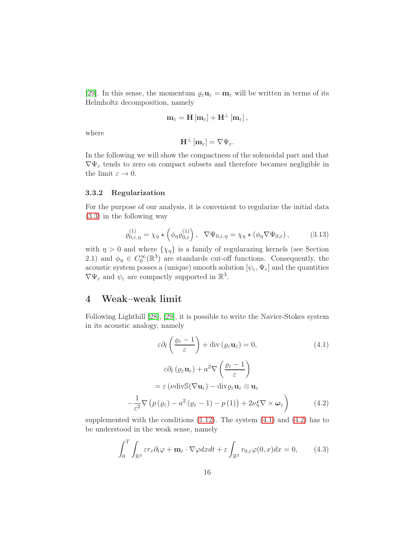[\[29\]](#page-35-13). In this sense, the momentum  $\varrho_{\varepsilon}u_{\varepsilon} = m_{\varepsilon}$  will be written in terms of its Helmholtz decomposition, namely

$$
\mathbf{m}_{\varepsilon}=\mathbf{H}\left[\mathbf{m}_{\varepsilon}\right]+\mathbf{H}^{\bot}\left[\mathbf{m}_{\varepsilon}\right],
$$

where

$$
\mathbf{H}^{\perp} \left[ \mathbf{m}_{\varepsilon} \right] = \nabla \Psi_{\varepsilon}.
$$

In the following we will show the compactness of the solenoidal part and that  $\nabla \Psi_{\varepsilon}$  tends to zero on compact subsets and therefore becames negligible in the limit  $\varepsilon \to 0$ .

#### <span id="page-15-0"></span>3.3.2 Regularization

For the purpose of our analysis, it is convenient to regularize the initial data [\(3.3\)](#page-13-2) in the following way

<span id="page-15-5"></span>
$$
\varrho_{0,\varepsilon,\eta}^{(1)} = \chi_{\eta} \star \left( \phi_{\eta} \varrho_{0,\varepsilon}^{(1)} \right), \quad \nabla \Psi_{0,\varepsilon,\eta} = \chi_{\eta} \star \left( \phi_{\eta} \nabla \Psi_{0,\varepsilon} \right), \tag{3.13}
$$

with  $\eta > 0$  and where  $\{\chi_{\eta}\}\$ is a family of regularazing kernels (see Section 2.1) and  $\phi_{\eta} \in C_0^{\infty}(\mathbb{R}^3)$  are standards cut-off functions. Consequently, the acoustic system posses a (unique) smooth solution  $[\psi_{\varepsilon}, \Psi_{\varepsilon}]$  and the quantities  $\nabla \Psi_{\varepsilon}$  and  $\psi_{\varepsilon}$  are compactly supported in  $\mathbb{R}^3$ .

## <span id="page-15-1"></span>4 Weak–weak limit

Following Lighthill [\[28\]](#page-35-12), [\[29\]](#page-35-13), it is possible to write the Navier-Stokes system in its acoustic analogy, namely

<span id="page-15-2"></span>
$$
\varepsilon \partial_t \left( \frac{\varrho_{\varepsilon} - 1}{\varepsilon} \right) + \text{div} \left( \varrho_{\varepsilon} \mathbf{u}_{\varepsilon} \right) = 0, \qquad (4.1)
$$

$$
\varepsilon \partial_t \left( \varrho_{\varepsilon} \mathbf{u}_{\varepsilon} \right) + a^2 \nabla \left( \frac{\varrho_{\varepsilon} - 1}{\varepsilon} \right)
$$

$$
= \varepsilon \left( \nu \text{div} \mathbb{S}(\nabla \mathbf{u}_{\varepsilon}) - \text{div} \varrho_{\varepsilon} \mathbf{u}_{\varepsilon} \otimes \mathbf{u}_{\varepsilon} \right)
$$

$$
- \frac{1}{\varepsilon^2} \nabla \left( p \left( \varrho_{\varepsilon} \right) - a^2 \left( \varrho_{\varepsilon} - 1 \right) - p \left( 1 \right) \right) + 2\nu \xi \nabla \times \boldsymbol{\omega}_{\varepsilon} \right) \qquad (4.2)
$$

supplemented with the conditions  $(1.12)$ . The system  $(4.1)$  and  $(4.2)$  has to be understood in the weak sense, namely

<span id="page-15-4"></span><span id="page-15-3"></span>
$$
\int_0^T \int_{\mathbb{R}^3} \varepsilon r_\varepsilon \partial_t \varphi + \mathbf{m}_\varepsilon \cdot \nabla \varphi dx dt + \varepsilon \int_{\mathbb{R}^3} r_{0,\varepsilon} \varphi(0, x) dx = 0,
$$
 (4.3)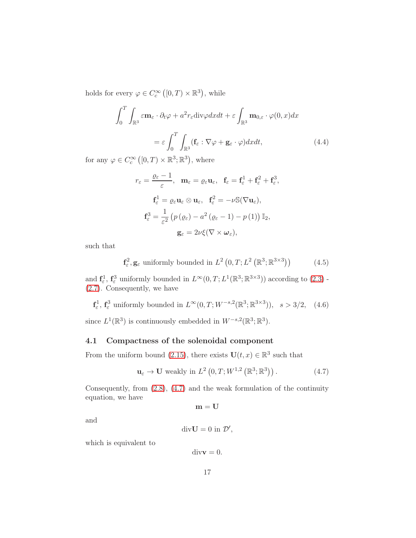holds for every  $\varphi \in C_c^{\infty}([0,T) \times \mathbb{R}^3)$ , while

$$
\int_0^T \int_{\mathbb{R}^3} \varepsilon \mathbf{m}_{\varepsilon} \cdot \partial_t \varphi + a^2 r_{\varepsilon} \text{div} \varphi dx dt + \varepsilon \int_{\mathbb{R}^3} \mathbf{m}_{0,\varepsilon} \cdot \varphi(0, x) dx
$$

$$
= \varepsilon \int_0^T \int_{\mathbb{R}^3} (\mathbf{f}_{\varepsilon} : \nabla \varphi + \mathbf{g}_{\varepsilon} \cdot \varphi) dx dt, \tag{4.4}
$$

for any  $\varphi \in C_c^{\infty}([0,T) \times \mathbb{R}^3; \mathbb{R}^3)$ , where

<span id="page-16-2"></span>
$$
r_{\varepsilon} = \frac{\varrho_{\varepsilon} - 1}{\varepsilon}, \quad \mathbf{m}_{\varepsilon} = \varrho_{\varepsilon} \mathbf{u}_{\varepsilon}, \quad \mathbf{f}_{\varepsilon} = \mathbf{f}_{\varepsilon}^{1} + \mathbf{f}_{\varepsilon}^{2} + \mathbf{f}_{\varepsilon}^{3},
$$

$$
\mathbf{f}_{\varepsilon}^{1} = \varrho_{\varepsilon} \mathbf{u}_{\varepsilon} \otimes \mathbf{u}_{\varepsilon}, \quad \mathbf{f}_{\varepsilon}^{2} = -\nu \mathbb{S}(\nabla \mathbf{u}_{\varepsilon}),
$$

$$
\mathbf{f}_{\varepsilon}^{3} = \frac{1}{\varepsilon^{2}} \left( p \left( \varrho_{\varepsilon} \right) - a^{2} \left( \varrho_{\varepsilon} - 1 \right) - p \left( 1 \right) \right) \mathbb{I}_{2},
$$

$$
\mathbf{g}_{\varepsilon} = 2\nu \xi (\nabla \times \boldsymbol{\omega}_{\varepsilon}),
$$

such that

<span id="page-16-3"></span>
$$
\mathbf{f}_{\varepsilon}^{2}, \mathbf{g}_{\varepsilon} \text{ uniformly bounded in } L^{2}\left(0, T; L^{2}\left(\mathbb{R}^{3}; \mathbb{R}^{3 \times 3}\right)\right) \tag{4.5}
$$

and  $\mathbf{f}_{\varepsilon}^1$ ,  $\mathbf{f}_{\varepsilon}^3$  uniformly bounded in  $L^{\infty}(0,T;L^1(\mathbb{R}^3;\mathbb{R}^{3\times3}))$  according to  $(2.3)$  -[\(2.7\)](#page-10-5). Consequently, we have

<span id="page-16-4"></span> $f_{\varepsilon}^1, f_{\varepsilon}^3$  uniformly bounded in  $L^{\infty}(0,T;W^{-s,2}(\mathbb{R}^3;\mathbb{R}^{3\times3}))$ ,  $s > 3/2$ , (4.6)

since  $L^1(\mathbb{R}^3)$  is continuously embedded in  $W^{-s,2}(\mathbb{R}^3;\mathbb{R}^3)$ .

## <span id="page-16-0"></span>4.1 Compactness of the solenoidal component

From the uniform bound [\(2.15\)](#page-12-4), there exists  $\mathbf{U}(t,x) \in \mathbb{R}^3$  such that

<span id="page-16-1"></span>
$$
\mathbf{u}_{\varepsilon} \to \mathbf{U} \text{ weakly in } L^{2}\left(0, T; W^{1,2}\left(\mathbb{R}^{3}; \mathbb{R}^{3}\right)\right). \tag{4.7}
$$

Consequently, from  $(2.8)$ ,  $(4.7)$  and the weak formulation of the continuity equation, we have

 $\mathbf{m}=\mathbf{U}$ 

and

$$
\mathrm{div}\mathbf{U}=0\text{ in }\mathcal{D}',
$$

which is equivalent to

 $div\mathbf{v}=0.$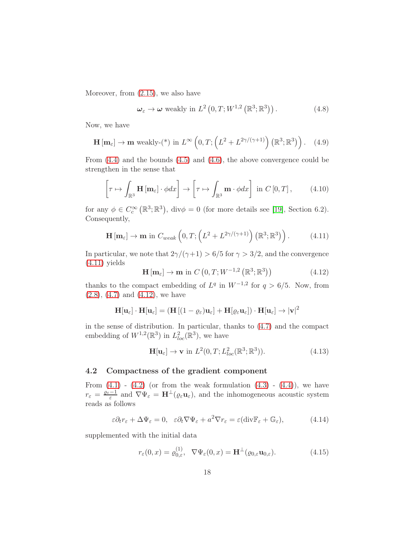Moreover, from [\(2.15\)](#page-12-4), we also have

<span id="page-17-6"></span>
$$
\omega_{\varepsilon} \to \omega \text{ weakly in } L^{2}\left(0, T; W^{1,2}\left(\mathbb{R}^{3}; \mathbb{R}^{3}\right)\right). \tag{4.8}
$$

Now, we have

$$
\mathbf{H}\left[\mathbf{m}_{\varepsilon}\right] \to \mathbf{m} \text{ weakly-}(*) \text{ in } L^{\infty}\left(0, T; \left(L^{2} + L^{2\gamma/(\gamma+1)}\right)\left(\mathbb{R}^{3}; \mathbb{R}^{3}\right)\right). \quad (4.9)
$$

From [\(4.4\)](#page-16-2) and the bounds [\(4.5\)](#page-16-3) and [\(4.6\)](#page-16-4), the above convergence could be strengthen in the sense that

$$
\left[\tau \mapsto \int_{\mathbb{R}^3} \mathbf{H}\left[\mathbf{m}_{\varepsilon}\right] \cdot \phi dx\right] \to \left[\tau \mapsto \int_{\mathbb{R}^3} \mathbf{m} \cdot \phi dx\right] \text{ in } C\left[0, T\right],\tag{4.10}
$$

for any  $\phi \in C_c^{\infty}(\mathbb{R}^3; \mathbb{R}^3)$ , div $\phi = 0$  (for more details see [\[19\]](#page-34-10), Section 6.2). Consequently,

<span id="page-17-1"></span>
$$
\mathbf{H}\left[\mathbf{m}_{\varepsilon}\right] \to \mathbf{m} \text{ in } C_{weak}\left(0, T; \left(L^2 + L^{2\gamma/(\gamma+1)}\right) \left(\mathbb{R}^3; \mathbb{R}^3\right)\right). \tag{4.11}
$$

In particular, we note that  $2\gamma/(\gamma+1) > 6/5$  for  $\gamma > 3/2$ , and the convergence  $(4.11)$  yields

<span id="page-17-2"></span>
$$
\mathbf{H}[\mathbf{m}_{\varepsilon}] \to \mathbf{m} \text{ in } C\left(0, T; W^{-1,2}\left(\mathbb{R}^3; \mathbb{R}^3\right)\right) \tag{4.12}
$$

thanks to the compact embedding of  $L^q$  in  $W^{-1,2}$  for  $q > 6/5$ . Now, from  $(2.8), (4.7)$  $(2.8), (4.7)$  $(2.8), (4.7)$  and  $(4.12),$  we have

$$
\mathbf{H}[\mathbf{u}_{\varepsilon}]\cdot\mathbf{H}[\mathbf{u}_{\varepsilon}] = (\mathbf{H}[(1-\varrho_{\varepsilon})\mathbf{u}_{\varepsilon}] + \mathbf{H}[\varrho_{\varepsilon}\mathbf{u}_{\varepsilon}])\cdot\mathbf{H}[\mathbf{u}_{\varepsilon}] \to |\mathbf{v}|^2
$$

in the sense of distribution. In particular, thanks to [\(4.7\)](#page-16-1) and the compact embedding of  $W^{1,2}(\mathbb{R}^3)$  in  $L^2_{loc}(\mathbb{R}^3)$ , we have

<span id="page-17-5"></span>
$$
\mathbf{H}[\mathbf{u}_{\varepsilon}] \to \mathbf{v} \text{ in } L^2(0, T; L^2_{loc}(\mathbb{R}^3; \mathbb{R}^3)).
$$
\n(4.13)

#### <span id="page-17-0"></span>4.2 Compactness of the gradient component

From  $(4.1)$  -  $(4.2)$  (or from the weak formulation  $(4.3)$  -  $(4.4)$ ), we have  $r_{\varepsilon} = \frac{\varrho_{\varepsilon}-1}{\varepsilon}$  $\frac{-1}{\varepsilon}$  and  $\nabla \Psi_{\varepsilon} = \mathbf{H}^{\perp}(\varrho_{\varepsilon} \mathbf{u}_{\varepsilon})$ , and the inhomogeneous acoustic system reads as follows

<span id="page-17-3"></span>
$$
\varepsilon \partial_t r_{\varepsilon} + \Delta \Psi_{\varepsilon} = 0, \quad \varepsilon \partial_t \nabla \Psi_{\varepsilon} + a^2 \nabla r_{\varepsilon} = \varepsilon (\text{div} \mathbb{F}_{\varepsilon} + \mathbb{G}_{\varepsilon}), \tag{4.14}
$$

supplemented with the initial data

<span id="page-17-4"></span>
$$
r_{\varepsilon}(0,x) = \varrho_{0,\varepsilon}^{(1)}, \quad \nabla \Psi_{\varepsilon}(0,x) = \mathbf{H}^{\perp}(\varrho_{0,\varepsilon}\mathbf{u}_{0,\varepsilon}). \tag{4.15}
$$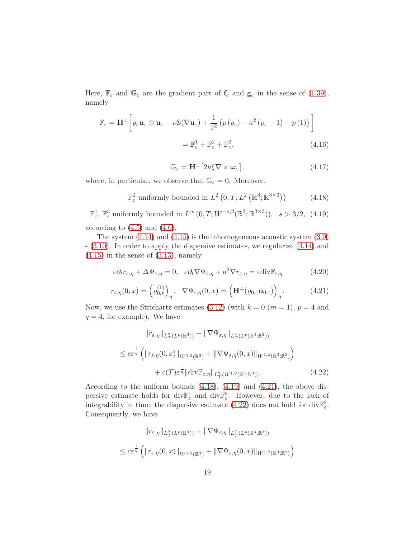Here,  $\mathbb{F}_{\varepsilon}$  and  $\mathbb{G}_{\varepsilon}$  are the gradient part of  $\mathbf{f}_{\varepsilon}$  and  $\mathbf{g}_{\varepsilon}$  in the sense of [\(1.39\)](#page-9-1), namely

$$
\mathbb{F}_{\varepsilon} = \mathbf{H}^{\perp} \bigg[ \varrho_{\varepsilon} \mathbf{u}_{\varepsilon} \otimes \mathbf{u}_{\varepsilon} - \nu \mathbb{S} (\nabla \mathbf{u}_{\varepsilon}) + \frac{1}{\varepsilon^{2}} \left( p \left( \varrho_{\varepsilon} \right) - a^{2} \left( \varrho_{\varepsilon} - 1 \right) - p \left( 1 \right) \right) \bigg]
$$
  

$$
= \mathbb{F}_{\varepsilon}^{1} + \mathbb{F}_{\varepsilon}^{2} + \mathbb{F}_{\varepsilon}^{3}, \tag{4.16}
$$

$$
\mathbb{G}_{\varepsilon} = \mathbf{H}^{\perp} \big[ 2\nu \xi \nabla \times \boldsymbol{\omega}_{\varepsilon} \big],\tag{4.17}
$$

where, in particular, we observe that  $\mathbb{G}_{\varepsilon} = 0$ . Moreover,

<span id="page-18-0"></span>
$$
\mathbb{F}_{\varepsilon}^{2} \text{ uniformly bounded in } L^{2}\left(0, T; L^{2}\left(\mathbb{R}^{3}; \mathbb{R}^{3 \times 3}\right)\right) \tag{4.18}
$$

<span id="page-18-1"></span> $\mathbb{F}^1_{\varepsilon}$ ,  $\mathbb{F}^3_{\varepsilon}$  uniformly bounded in  $L^{\infty}(0,T;W^{-s,2}(\mathbb{R}^3;\mathbb{R}^{3\times3}))$ ,  $s > 3/2$ , (4.19) according to  $(4.5)$  and  $(4.6)$ .

The system  $(4.14)$  and  $(4.15)$  is the inhomogeneous acoustic system  $(3.9)$ - [\(3.10\)](#page-14-2). In order to apply the dispersive estimates, we regularize [\(4.14\)](#page-17-3) and  $(4.15)$  in the sense of  $(3.13)$ , namely

$$
\varepsilon \partial_t r_{\varepsilon,\eta} + \Delta \Psi_{\varepsilon,\eta} = 0, \quad \varepsilon \partial_t \nabla \Psi_{\varepsilon,\eta} + a^2 \nabla r_{\varepsilon,\eta} = \varepsilon \text{div} \mathbb{F}_{\varepsilon,\eta}
$$
(4.20)

<span id="page-18-2"></span>
$$
r_{\varepsilon,\eta}(0,x) = \left(\varrho_{0,\varepsilon}^{(1)}\right)_{\eta}, \quad \nabla \Psi_{\varepsilon,\eta}(0,x) = \left(\mathbf{H}^{\perp}(\varrho_{0,\varepsilon}\mathbf{u}_{0,\varepsilon})\right)_{\eta}.
$$
 (4.21)

Now, we use the Strichartz estimates [\(3.12\)](#page-14-3) (with  $k = 0$  ( $m = 1$ ),  $p = 4$  and  $q = 4$ , for example). We have

<span id="page-18-3"></span>
$$
||r_{\varepsilon,\eta}||_{L_T^q(L^p(\mathbb{R}^3))} + ||\nabla \Psi_{\varepsilon,\eta}||_{L_T^q(L^p(\mathbb{R}^3;\mathbb{R}^3))}
$$
  
\n
$$
\leq c\varepsilon^{\frac{1}{q}} \left( ||r_{\varepsilon,\eta}(0,x)||_{W^{1,2}(\mathbb{R}^3)} + ||\nabla \Psi_{\varepsilon,\eta}(0,x)||_{W^{1,2}(\mathbb{R}^3;\mathbb{R}^3)} \right)
$$
  
\n
$$
+ c(T)\varepsilon^{\frac{1}{q}} ||\text{div}\mathbb{F}_{\varepsilon,\eta}||_{L_T^q(W^{1,2}(\mathbb{R}^3;\mathbb{R}^3))}. \tag{4.22}
$$

According to the uniform bounds [\(4.18\)](#page-18-0), [\(4.19\)](#page-18-1) and [\(4.21\)](#page-18-2), the above dispersive estimate holds for div $\mathbb{F}^1_{\varepsilon}$  and div $\mathbb{F}^3_{\varepsilon}$ . However, due to the lack of integrability in time, the dispersive estimate [\(4.22\)](#page-18-3) does not hold for  $\text{div}\mathbb{F}^2_{\varepsilon}$ . Consequently, we have

$$
||r_{\varepsilon,\eta}||_{L_T^q(L^p(\mathbb{R}^3))} + ||\nabla \Psi_{\varepsilon,\eta}||_{L_T^q(L^p(\mathbb{R}^3;\mathbb{R}^3))}
$$
  

$$
\leq c\varepsilon^{\frac{1}{q}} \left( ||r_{\varepsilon,\eta}(0,x)||_{W^{1,2}(\mathbb{R}^3)} + ||\nabla \Psi_{\varepsilon,\eta}(0,x)||_{W^{1,2}(\mathbb{R}^3;\mathbb{R}^3)} \right)
$$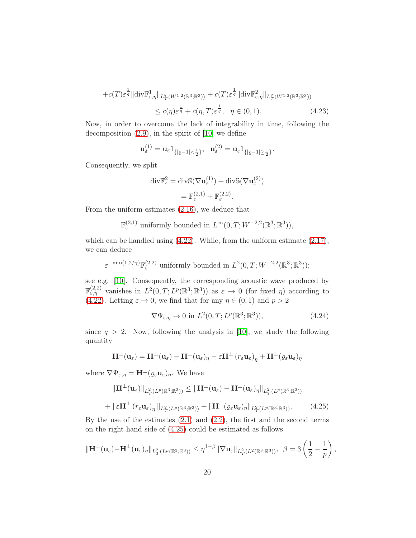$$
+c(T)\varepsilon^{\frac{1}{q}}\|\text{div}\mathbb{F}_{\varepsilon,\eta}^1\|_{L^q_T(W^{1,2}(\mathbb{R}^3;\mathbb{R}^3))}+c(T)\varepsilon^{\frac{1}{q}}\|\text{div}\mathbb{F}_{\varepsilon,\eta}^2\|_{L^q_T(W^{1,2}(\mathbb{R}^3;\mathbb{R}^3))}\n\n\leq c(\eta)\varepsilon^{\frac{1}{q}}+c(\eta,T)\varepsilon^{\frac{1}{q}},\quad \eta\in(0,1).
$$
\n(4.23)

Now, in order to overcome the lack of integrability in time, following the decomposition  $(2.9)$ , in the spirit of  $[10]$  we define

$$
\mathbf{u}_{\varepsilon}^{(1)} = \mathbf{u}_{\varepsilon} \mathbf{1}_{\{|{\varrho}-1|<\frac{1}{2}\}}, \ \ \mathbf{u}_{\varepsilon}^{(2)} = \mathbf{u}_{\varepsilon} \mathbf{1}_{\{|{\varrho}-1|\geq \frac{1}{2}\}}.
$$

Consequently, we split

$$
\begin{aligned} \operatorname{div} & \mathbb{F}_{\varepsilon}^{2} = \operatorname{div} \mathbb{S}(\nabla \mathbf{u}_{\varepsilon}^{(1)}) + \operatorname{div} \mathbb{S}(\nabla \mathbf{u}_{\varepsilon}^{(2)}) \\ &= \mathbb{F}_{\varepsilon}^{(2,1)} + \mathbb{F}_{\varepsilon}^{(2,2)}. \end{aligned}
$$

From the uniform estimates [\(2.16\)](#page-12-5), we deduce that

$$
\mathbb{F}_{\varepsilon}^{(2,1)} \text{ uniformly bounded in } L^{\infty}(0,T;W^{-2,2}(\mathbb{R}^3;\mathbb{R}^3)),
$$

which can be handled using  $(4.22)$ . While, from the uniform estimate  $(2.17)$ , we can deduce

 $\varepsilon^{-\min(1,2/\gamma)} \mathbb{F}^{(2,2)}_{\varepsilon}$  uniformly bounded in  $L^2(0,T;W^{-2,2}(\mathbb{R}^3;\mathbb{R}^3));$ 

see e.g. [\[10\]](#page-33-10). Consequently, the corresponding acoustic wave produced by  $\mathbb{F}^{(2,2)}_{\varepsilon,\eta}$  vanishes in  $L^2(0,T;L^p(\mathbb{R}^3;\mathbb{R}^3))$  as  $\varepsilon \to 0$  (for fixed  $\eta$ ) according to [\(4.22\)](#page-18-3). Letting  $\varepsilon \to 0$ , we find that for any  $\eta \in (0,1)$  and  $p > 2$ 

$$
\nabla \Psi_{\varepsilon,\eta} \to 0 \text{ in } L^2(0,T; L^p(\mathbb{R}^3; \mathbb{R}^3)),\tag{4.24}
$$

since  $q > 2$ . Now, following the analysis in [\[10\]](#page-33-10), we study the following quantity

$$
\mathbf{H}^{\perp}(\mathbf{u}_{\varepsilon}) = \mathbf{H}^{\perp}(\mathbf{u}_{\varepsilon}) - \mathbf{H}^{\perp}(\mathbf{u}_{\varepsilon})_{\eta} - \varepsilon \mathbf{H}^{\perp} (r_{\varepsilon} \mathbf{u}_{\varepsilon})_{\eta} + \mathbf{H}^{\perp} (\varrho_{\varepsilon} \mathbf{u}_{\varepsilon})_{\eta}
$$

where  $\nabla \Psi_{\varepsilon,\eta} = \mathbf{H}^{\perp}(\varrho_{\varepsilon}\mathbf{u}_{\varepsilon})_{\eta}$ . We have

<span id="page-19-0"></span>
$$
\|\mathbf{H}^{\perp}(\mathbf{u}_{\varepsilon})\|_{L^{2}_{T}(L^{p}(\mathbb{R}^{3};\mathbb{R}^{3}))} \leq \|\mathbf{H}^{\perp}(\mathbf{u}_{\varepsilon}) - \mathbf{H}^{\perp}(\mathbf{u}_{\varepsilon})_{\eta}\|_{L^{2}_{T}(L^{p}(\mathbb{R}^{3};\mathbb{R}^{3}))}
$$
  
+ 
$$
\|\varepsilon \mathbf{H}^{\perp} (r_{\varepsilon} \mathbf{u}_{\varepsilon})_{\eta}\|_{L^{2}_{T}(L^{p}(\mathbb{R}^{3};\mathbb{R}^{3}))} + \|\mathbf{H}^{\perp}(\varrho_{\varepsilon} \mathbf{u}_{\varepsilon})_{\eta}\|_{L^{2}_{T}(L^{p}(\mathbb{R}^{3};\mathbb{R}^{3}))}. \tag{4.25}
$$

By the use of the estimates  $(2.1)$  and  $(2.2)$ , the first and the second terms on the right hand side of [\(4.25\)](#page-19-0) could be estimated as follows

$$
\|\mathbf{H}^{\perp}(\mathbf{u}_{\varepsilon})-\mathbf{H}^{\perp}(\mathbf{u}_{\varepsilon})_{\eta}\|_{L^{2}_{T}(L^{p}(\mathbb{R}^{3};\mathbb{R}^{3}))} \leq \eta^{1-\beta} \|\nabla \mathbf{u}_{\varepsilon}\|_{L^{2}_{T}(L^{2}(\mathbb{R}^{3};\mathbb{R}^{3}))}, \ \ \beta=3\left(\frac{1}{2}-\frac{1}{p}\right),
$$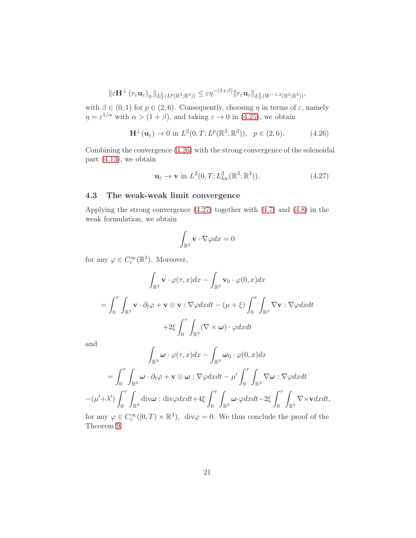$$
\|\varepsilon \mathbf{H}^{\perp}(r_{\varepsilon} \mathbf{u}_{\varepsilon})_{\eta}\|_{L^{2}_{T}(L^{p}(\mathbb{R}^{3};\mathbb{R}^{3}))} \leq \varepsilon \eta^{-(1+\beta)}\|r_{\varepsilon} \mathbf{u}_{\varepsilon}\|_{L^{2}_{T}(W^{-1,2}(\mathbb{R}^{3};\mathbb{R}^{3}))},
$$

with  $\beta \in (0,1)$  for  $p \in (2,6)$ . Consequently, choosing  $\eta$  in terms of  $\varepsilon$ , namely  $\eta = \varepsilon^{1/\alpha}$  with  $\alpha > (1 + \beta)$ , and taking  $\varepsilon \to 0$  in [\(4.25\)](#page-19-0), we obtain

<span id="page-20-1"></span>
$$
\mathbf{H}^{\perp}(\mathbf{u}_{\varepsilon}) \to 0 \text{ in } L^{2}(0, T; L^{p}(\mathbb{R}^{3}; \mathbb{R}^{3})), \quad p \in (2, 6). \tag{4.26}
$$

Combining the convergence [\(4.26\)](#page-20-1) with the strong convergence of the solenoidal part [\(4.13\)](#page-17-5), we obtain

<span id="page-20-2"></span>
$$
\mathbf{u}_{\varepsilon} \to \mathbf{v} \text{ in } L^{2}(0, T; L^{2}_{loc}(\mathbb{R}^{3}; \mathbb{R}^{3})). \tag{4.27}
$$

### <span id="page-20-0"></span>4.3 The weak-weak limit convergence

Applying the strong convergence [\(4.27\)](#page-20-2) together with [\(4.7\)](#page-16-1) and [\(4.8\)](#page-17-6) in the weak formulation, we obtain

$$
\int_{\mathbb{R}^3} \mathbf{v} \cdot \nabla \varphi dx = 0
$$

for any  $\varphi \in C_c^{\infty}(\mathbb{R}^3)$ . Moreover,

$$
\int_{\mathbb{R}^3} \mathbf{v} \cdot \varphi(\tau, x) dx - \int_{\mathbb{R}^3} \mathbf{v}_0 \cdot \varphi(0, x) dx
$$

$$
= \int_0^{\tau} \int_{\mathbb{R}^3} \mathbf{v} \cdot \partial_t \varphi + \mathbf{v} \otimes \mathbf{v} : \nabla \varphi dx dt - (\mu + \xi) \int_0^{\tau} \int_{\mathbb{R}^3} \nabla \mathbf{v} : \nabla \varphi dx dt
$$

$$
+ 2\xi \int_0^{\tau} \int_{\mathbb{R}^3} (\nabla \times \boldsymbol{\omega}) \cdot \varphi dx dt
$$

and

$$
\int_{\mathbb{R}^3} \omega \cdot \varphi(\tau, x) dx - \int_{\mathbb{R}^3} \omega_0 \cdot \varphi(0, x) dx
$$

$$
= \int_0^{\tau} \int_{\mathbb{R}^3} \omega \cdot \partial_t \varphi + \mathbf{v} \otimes \omega : \nabla \varphi dx dt - \mu' \int_0^{\tau} \int_{\mathbb{R}^3} \nabla \omega : \nabla \varphi dx dt
$$

$$
- (\mu' + \lambda') \int_0^{\tau} \int_{\mathbb{R}^3} \text{div}\omega : \text{div}\varphi dx dt + 4\xi \int_0^{\tau} \int_{\mathbb{R}^3} \omega \cdot \varphi dx dt - 2\xi \int_0^{\tau} \int_{\mathbb{R}^3} \nabla \times \mathbf{v} dx dt,
$$

for any  $\varphi \in C_c^{\infty}([0, T) \times \mathbb{R}^3)$ , div $\varphi = 0$ . We thus conclude the proof of the Theorem [9.](#page-8-2)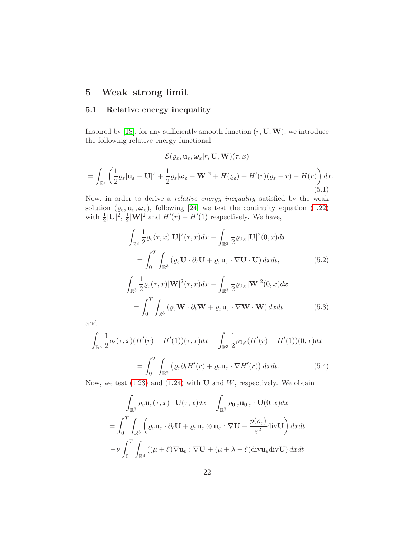## <span id="page-21-1"></span><span id="page-21-0"></span>5 Weak–strong limit

## 5.1 Relative energy inequality

Inspired by [\[18\]](#page-34-11), for any sufficiently smooth function  $(r, U, W)$ , we introduce the following relative energy functional

<span id="page-21-3"></span>
$$
\mathcal{E}(\varrho_{\varepsilon}, \mathbf{u}_{\varepsilon}, \omega_{\varepsilon}|r, \mathbf{U}, \mathbf{W})(\tau, x)
$$
  
= 
$$
\int_{\mathbb{R}^3} \left( \frac{1}{2} \varrho_{\varepsilon} |\mathbf{u}_{\varepsilon} - \mathbf{U}|^2 + \frac{1}{2} \varrho_{\varepsilon} |\omega_{\varepsilon} - \mathbf{W}|^2 + H(\varrho_{\varepsilon}) + H'(r)(\varrho_{\varepsilon} - r) - H(r) \right) dx.
$$
  
(5.1)

Now, in order to derive a relative energy inequality satisfied by the weak solution  $(\varrho_{\varepsilon}, \mathbf{u}_{\varepsilon}, \boldsymbol{\omega}_{\varepsilon})$ , following [\[24\]](#page-34-1) we test the continuity equation [\(1.22\)](#page-5-2) with  $\frac{1}{2}|\mathbf{U}|^2$ ,  $\frac{1}{2}$  $\frac{1}{2}|\mathbf{W}|^2$  and  $H'(r) - H'(1)$  respectively. We have,

$$
\int_{\mathbb{R}^3} \frac{1}{2} \varrho_{\varepsilon}(\tau, x) |\mathbf{U}|^2(\tau, x) dx - \int_{\mathbb{R}^3} \frac{1}{2} \varrho_{0,\varepsilon} |\mathbf{U}|^2(0, x) dx
$$

$$
= \int_0^T \int_{\mathbb{R}^3} (\varrho_{\varepsilon} \mathbf{U} \cdot \partial_t \mathbf{U} + \varrho_{\varepsilon} \mathbf{u}_{\varepsilon} \cdot \nabla \mathbf{U} \cdot \mathbf{U}) dx dt,
$$
(5.2)

<span id="page-21-2"></span>
$$
\int_{\mathbb{R}^3} \frac{1}{2} \varrho_{\varepsilon}(\tau, x) |\mathbf{W}|^2(\tau, x) dx - \int_{\mathbb{R}^3} \frac{1}{2} \varrho_{0,\varepsilon} |\mathbf{W}|^2(0, x) dx
$$

$$
= \int_0^T \int_{\mathbb{R}^3} (\varrho_{\varepsilon} \mathbf{W} \cdot \partial_t \mathbf{W} + \varrho_{\varepsilon} \mathbf{u}_{\varepsilon} \cdot \nabla \mathbf{W} \cdot \mathbf{W}) dx dt \qquad (5.3)
$$

and

$$
\int_{\mathbb{R}^3} \frac{1}{2} \varrho_{\varepsilon}(\tau, x) (H'(r) - H'(1)) (\tau, x) dx - \int_{\mathbb{R}^3} \frac{1}{2} \varrho_{0, \varepsilon} (H'(r) - H'(1)) (0, x) dx
$$

$$
= \int_0^T \int_{\mathbb{R}^3} \left( \varrho_{\varepsilon} \partial_t H'(r) + \varrho_{\varepsilon} \mathbf{u}_{\varepsilon} \cdot \nabla H'(r) \right) dx dt. \tag{5.4}
$$

Now, we test  $(1.23)$  and  $(1.24)$  with **U** and *W*, respectively. We obtain

$$
\int_{\mathbb{R}^3} \varrho_{\varepsilon} \mathbf{u}_{\varepsilon}(\tau, x) \cdot \mathbf{U}(\tau, x) dx - \int_{\mathbb{R}^3} \varrho_{0,\varepsilon} \mathbf{u}_{0,\varepsilon} \cdot \mathbf{U}(0, x) dx
$$
\n
$$
= \int_0^T \int_{\mathbb{R}^3} \left( \varrho_{\varepsilon} \mathbf{u}_{\varepsilon} \cdot \partial_t \mathbf{U} + \varrho_{\varepsilon} \mathbf{u}_{\varepsilon} \otimes \mathbf{u}_{\varepsilon} : \nabla \mathbf{U} + \frac{p(\varrho_{\varepsilon})}{\varepsilon^2} \text{div} \mathbf{U} \right) dx dt
$$
\n
$$
- \nu \int_0^T \int_{\mathbb{R}^3} \left( (\mu + \xi) \nabla \mathbf{u}_{\varepsilon} : \nabla \mathbf{U} + (\mu + \lambda - \xi) \text{div} \mathbf{u}_{\varepsilon} \text{div} \mathbf{U} \right) dx dt
$$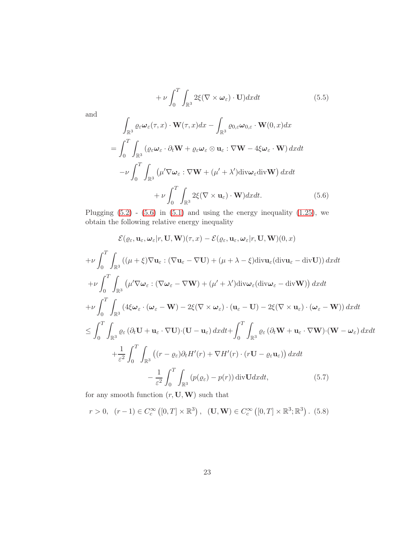$$
\quad \text{and} \quad
$$

$$
+ \nu \int_{0}^{\cdot} \int_{\mathbb{R}^{3}} 2\xi(\nabla \times \omega_{\varepsilon}) \cdot \mathbf{U}) dx dt \qquad (5.5)
$$

$$
\int_{\mathbb{R}^{3}} \varrho_{\varepsilon} \omega_{\varepsilon}(\tau, x) \cdot \mathbf{W}(\tau, x) dx - \int_{\mathbb{R}^{3}} \varrho_{0,\varepsilon} \omega_{0,\varepsilon} \cdot \mathbf{W}(0, x) dx
$$

$$
= \int_{0}^{T} \int_{\mathbb{R}^{3}} (\varrho_{\varepsilon} \omega_{\varepsilon} \cdot \partial_{t} \mathbf{W} + \varrho_{\varepsilon} \omega_{\varepsilon} \otimes \mathbf{u}_{\varepsilon} : \nabla \mathbf{W} - 4\xi \omega_{\varepsilon} \cdot \mathbf{W}) dx dt
$$

$$
- \nu \int_{0}^{T} \int_{\mathbb{R}^{3}} (\mu' \nabla \omega_{\varepsilon} : \nabla \mathbf{W} + (\mu' + \lambda') \text{div} \omega_{\varepsilon} \text{div} \mathbf{W}) dx dt
$$

$$
+ \nu \int_{0}^{T} \int_{\mathbb{R}^{3}} 2\xi(\nabla \times \mathbf{u}_{\varepsilon}) \cdot \mathbf{W}) dx dt. \qquad (5.6)
$$

<span id="page-22-0"></span>Plugging  $(5.2)$  -  $(5.6)$  in  $(5.1)$  and using the energy inequality  $(1.25)$ , we obtain the following relative energy inequality

 $+\nu\int_0^T$ 

ˆ

$$
\mathcal{E}(\varrho_{\varepsilon}, \mathbf{u}_{\varepsilon}, \omega_{\varepsilon}|r, \mathbf{U}, \mathbf{W})(\tau, x) - \mathcal{E}(\varrho_{\varepsilon}, \mathbf{u}_{\varepsilon}, \omega_{\varepsilon}|r, \mathbf{U}, \mathbf{W})(0, x)
$$
\n
$$
+ \nu \int_{0}^{T} \int_{\mathbb{R}^{3}} \left( (\mu + \xi) \nabla \mathbf{u}_{\varepsilon} : (\nabla \mathbf{u}_{\varepsilon} - \nabla \mathbf{U}) + (\mu + \lambda - \xi) \operatorname{div} \mathbf{u}_{\varepsilon} (\operatorname{div} \mathbf{u}_{\varepsilon} - \operatorname{div} \mathbf{U}) \right) dx dt
$$
\n
$$
+ \nu \int_{0}^{T} \int_{\mathbb{R}^{3}} \left( \mu' \nabla \omega_{\varepsilon} : (\nabla \omega_{\varepsilon} - \nabla \mathbf{W}) + (\mu' + \lambda') \operatorname{div} \omega_{\varepsilon} (\operatorname{div} \omega_{\varepsilon} - \operatorname{div} \mathbf{W}) \right) dx dt
$$
\n
$$
+ \nu \int_{0}^{T} \int_{\mathbb{R}^{3}} \left( 4 \xi \omega_{\varepsilon} \cdot (\omega_{\varepsilon} - \mathbf{W}) - 2 \xi (\nabla \times \omega_{\varepsilon}) \cdot (\mathbf{u}_{\varepsilon} - \mathbf{U}) - 2 \xi (\nabla \times \mathbf{u}_{\varepsilon}) \cdot (\omega_{\varepsilon} - \mathbf{W}) \right) dx dt
$$
\n
$$
\leq \int_{0}^{T} \int_{\mathbb{R}^{3}} \varrho_{\varepsilon} (\partial_{t} \mathbf{U} + \mathbf{u}_{\varepsilon} \cdot \nabla \mathbf{U}) \cdot (\mathbf{U} - \mathbf{u}_{\varepsilon}) dx dt + \int_{0}^{T} \int_{\mathbb{R}^{3}} \varrho_{\varepsilon} (\partial_{t} \mathbf{W} + \mathbf{u}_{\varepsilon} \cdot \nabla \mathbf{W}) \cdot (\mathbf{W} - \omega_{\varepsilon}) dx dt
$$
\n
$$
+ \frac{1}{\varepsilon^{2}} \int_{0}^{T} \int_{\mathbb{R}^{3}} \left( (r - \
$$

<span id="page-22-1"></span>for any smooth function  $(r, \mathbf{U}, \mathbf{W})$  such that

$$
r > 0
$$
,  $(r - 1) \in C_c^{\infty}([0, T] \times \mathbb{R}^3)$ ,  $(\mathbf{U}, \mathbf{W}) \in C_c^{\infty}([0, T] \times \mathbb{R}^3; \mathbb{R}^3)$ . (5.8)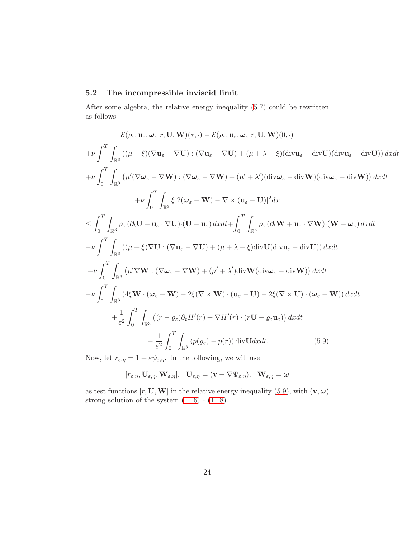## <span id="page-23-0"></span>5.2 The incompressible inviscid limit

After some algebra, the relative energy inequality [\(5.7\)](#page-22-1) could be rewritten as follows

$$
\mathcal{E}(\varrho_{\varepsilon}, \mathbf{u}_{\varepsilon}, \boldsymbol{\omega}_{\varepsilon}|r, \mathbf{U}, \mathbf{W})(\tau, \cdot) - \mathcal{E}(\varrho_{\varepsilon}, \mathbf{u}_{\varepsilon}, \boldsymbol{\omega}_{\varepsilon}|r, \mathbf{U}, \mathbf{W})(0, \cdot)
$$
\n
$$
+ \nu \int_{0}^{T} \int_{\mathbb{R}^{3}} ((\mu + \xi)(\nabla \mathbf{u}_{\varepsilon} - \nabla \mathbf{U}) : (\nabla \mathbf{u}_{\varepsilon} - \nabla \mathbf{U}) + (\mu + \lambda - \xi)(\text{div}\mathbf{u}_{\varepsilon} - \text{div}\mathbf{U})(\text{div}\mathbf{u}_{\varepsilon} - \text{div}\mathbf{U})) dx dt
$$
\n
$$
+ \nu \int_{0}^{T} \int_{\mathbb{R}^{3}} (\mu'(\nabla \boldsymbol{\omega}_{\varepsilon} - \nabla \mathbf{W}) : (\nabla \boldsymbol{\omega}_{\varepsilon} - \nabla \mathbf{W}) + (\mu' + \lambda')(\text{div}\boldsymbol{\omega}_{\varepsilon} - \text{div}\mathbf{W})(\text{div}\boldsymbol{\omega}_{\varepsilon} - \text{div}\mathbf{W})) dx dt
$$
\n
$$
+ \nu \int_{0}^{T} \int_{\mathbb{R}^{3}} \xi \left[ 2(\boldsymbol{\omega}_{\varepsilon} - \mathbf{W}) - \nabla \times (\mathbf{u}_{\varepsilon} - \mathbf{U}) \right]^{2} dx
$$
\n
$$
\leq \int_{0}^{T} \int_{\mathbb{R}^{3}} (\mu + \xi) \nabla \mathbf{U} : (\nabla \mathbf{u}_{\varepsilon} - \nabla \mathbf{U}) + (\mu + \lambda - \xi) \text{div}\mathbf{U}(\text{div}\mathbf{u}_{\varepsilon} - \text{div}\mathbf{U})) dx dt
$$
\n
$$
- \nu \int_{0}^{T} \int_{\mathbb{R}^{3}} (\mu' \nabla \mathbf{W} : (\nabla \boldsymbol{\omega}_{\varepsilon} - \nabla \mathbf{W}) + (\mu' + \lambda') \text{div}\mathbf{W}(\text{div}\boldsymbol{\omega}_{\varepsilon} - \text{div}\mathbf{W})) dx dt
$$
\n $$ 

Now, let  $r_{\varepsilon,\eta} = 1 + \varepsilon \psi_{\varepsilon,\eta}$ . In the following, we will use

<span id="page-23-1"></span>
$$
[r_{\varepsilon,\eta},\mathbf{U}_{\varepsilon,\eta},\mathbf{W}_{\varepsilon,\eta}],\ \ \mathbf{U}_{\varepsilon,\eta}=(\mathbf{v}+\nabla\Psi_{\varepsilon,\eta}),\ \ \mathbf{W}_{\varepsilon,\eta}=\boldsymbol{\omega}
$$

as test functions  $[r, U, W]$  in the relative energy inequality [\(5.9\)](#page-23-1), with  $(v, \omega)$ strong solution of the system  $(1.16)$  -  $(1.18)$ .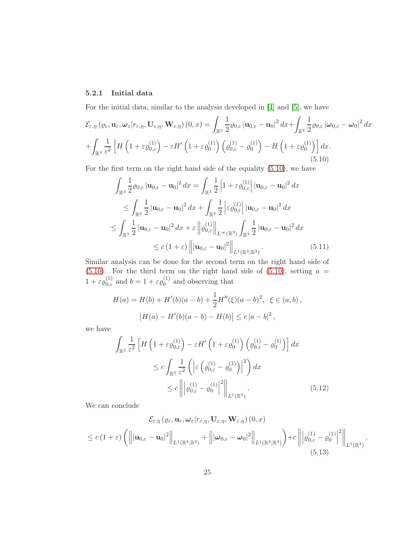### <span id="page-24-0"></span>5.2.1 Initial data

For the initial data, similar to the analysis developed in [\[4\]](#page-33-7) and [\[5\]](#page-33-9), we have

$$
\mathcal{E}_{\varepsilon,\eta} \left( \varrho_{\varepsilon}, \mathbf{u}_{\varepsilon}, \omega_{\varepsilon} | r_{\varepsilon,\eta}, \mathbf{U}_{\varepsilon,\eta}, \mathbf{W}_{\varepsilon,\eta} \right) (0, x) = \int_{\mathbb{R}^3} \frac{1}{2} \varrho_{0,\varepsilon} \left| \mathbf{u}_{0,\varepsilon} - \mathbf{u}_0 \right|^2 dx + \int_{\mathbb{R}^3} \frac{1}{2} \varrho_{0,\varepsilon} \left| \omega_{0,\varepsilon} - \omega_0 \right|^2 dx
$$
  
+ 
$$
\int_{\mathbb{R}^3} \frac{1}{\varepsilon^2} \left[ H \left( 1 + \varepsilon \varrho_{0,\varepsilon}^{(1)} \right) - \varepsilon H' \left( 1 + \varepsilon \varrho_0^{(1)} \right) \left( \varrho_{0,\varepsilon}^{(1)} - \varrho_0^{(1)} \right) - H \left( 1 + \varepsilon \varrho_0^{(1)} \right) \right] dx.
$$
  
(5.10)

<span id="page-24-1"></span>For the first term on the right hand side of the equality [\(5.10\)](#page-24-1), we have

$$
\int_{\mathbb{R}^3} \frac{1}{2} \varrho_{0,\varepsilon} |\mathbf{u}_{0,\varepsilon} - \mathbf{u}_0|^2 dx = \int_{\mathbb{R}^3} \frac{1}{2} |1 + \varepsilon \varrho_{0,\varepsilon}^{(1)}| |\mathbf{u}_{0,\varepsilon} - \mathbf{u}_0|^2 dx
$$
\n
$$
\leq \int_{\mathbb{R}^3} \frac{1}{2} |\mathbf{u}_{0,\varepsilon} - \mathbf{u}_0|^2 dx + \int_{\mathbb{R}^3} \frac{1}{2} |\varepsilon \varrho_{0,\varepsilon}^{(1)}| |\mathbf{u}_{0,\varepsilon} - \mathbf{u}_0|^2 dx
$$
\n
$$
\leq \int_{\mathbb{R}^3} \frac{1}{2} |\mathbf{u}_{0,\varepsilon} - \mathbf{u}_0|^2 dx + \varepsilon ||\varrho_{0,\varepsilon}^{(1)}||_{L^\infty(\mathbb{R}^3)} \int_{\mathbb{R}^3} \frac{1}{2} |\mathbf{u}_{0,\varepsilon} - \mathbf{u}_0|^2 dx
$$
\n
$$
\leq c (1 + \varepsilon) |||\mathbf{u}_{0,\varepsilon} - \mathbf{u}_0|^2||_{L^1(\mathbb{R}^3; \mathbb{R}^3)}.
$$
\n(5.11)

Similar analysis can be done for the second term on the right hand side of  $(5.10)$ . For the third term on the right hand side of  $(5.10)$ , setting  $a =$  $1 + \varepsilon \varrho_{0,\varepsilon}^{(1)}$  and  $b = 1 + \varepsilon \varrho_0^{(1)}$  $_0^{(1)}$  and observing that

$$
H(a) = H(b) + H'(b)(a - b) + \frac{1}{2}H''(\xi)(a - b)^2, \ \xi \in (a, b),
$$
  

$$
|H(a) - H'(b)(a - b) - H(b)| \le c |a - b|^2,
$$

we have

$$
\int_{\mathbb{R}^3} \frac{1}{\varepsilon^2} \left[ H \left( 1 + \varepsilon \varrho_{0,\varepsilon}^{(1)} \right) - \varepsilon H' \left( 1 + \varepsilon \varrho_0^{(1)} \right) \left( \varrho_{0,\varepsilon}^{(1)} - \varrho_0^{(1)} \right) \right] dx
$$
\n
$$
\leq c \int_{\mathbb{R}^3} \frac{1}{\varepsilon^2} \left( \left| \varepsilon \left( \varrho_{0,\varepsilon}^{(1)} - \varrho_0^{(1)} \right) \right|^2 \right) dx
$$
\n
$$
\leq c \left\| \left| \varrho_{0,\varepsilon}^{(1)} - \varrho_0^{(1)} \right|^2 \right\|_{L^1(\mathbb{R}^3)} . \tag{5.12}
$$

We can conclude

<span id="page-24-2"></span>
$$
\mathcal{E}_{\varepsilon,\eta}(\varrho_{\varepsilon}, \mathbf{u}_{\varepsilon}, \omega_{\varepsilon}|r_{\varepsilon,\eta}, \mathbf{U}_{\varepsilon,\eta}, \mathbf{W}_{\varepsilon,\eta})(0, x) \le c (1+\varepsilon) \left( \left\| |\mathbf{u}_{0,\varepsilon} - \mathbf{u}_0|^2 \right\|_{L^1(\mathbb{R}^3; \mathbb{R}^3)} + \left\| |\omega_{0,\varepsilon} - \omega_0|^2 \right\|_{L^1(\mathbb{R}^3; \mathbb{R}^3)} \right) + c \left\| |\varrho_{0,\varepsilon}^{(1)} - \varrho_0^{(1)}|^2 \right\|_{L^1(\mathbb{R}^3)}.
$$
\n(5.13)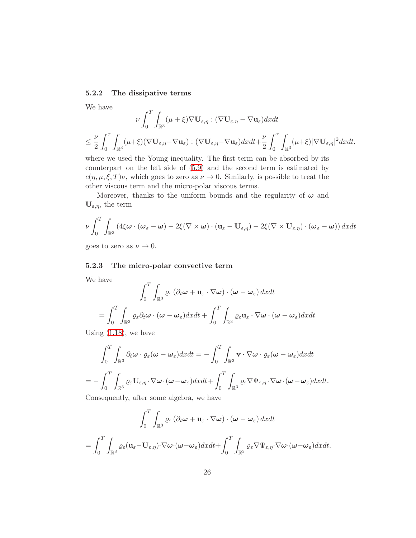### <span id="page-25-0"></span>5.2.2 The dissipative terms

We have

$$
\nu \int_0^T \int_{\mathbb{R}^3} (\mu + \xi) \nabla \mathbf{U}_{\varepsilon, \eta} : (\nabla \mathbf{U}_{\varepsilon, \eta} - \nabla \mathbf{u}_{\varepsilon}) dx dt
$$
  

$$
\leq \frac{\nu}{2} \int_0^{\tau} \int_{\mathbb{R}^3} (\mu + \xi) (\nabla \mathbf{U}_{\varepsilon, \eta} - \nabla \mathbf{u}_{\varepsilon}) : (\nabla \mathbf{U}_{\varepsilon, \eta} - \nabla \mathbf{u}_{\varepsilon}) dx dt + \frac{\nu}{2} \int_0^{\tau} \int_{\mathbb{R}^3} (\mu + \xi) |\nabla \mathbf{U}_{\varepsilon, \eta}|^2 dx dt,
$$

where we used the Young inequality. The first term can be absorbed by its counterpart on the left side of [\(5.9\)](#page-23-1) and the second term is estimated by  $c(\eta, \mu, \xi, T)\nu$ , which goes to zero as  $\nu \to 0$ . Similarly, is possible to treat the other viscous term and the micro-polar viscous terms.

Moreover, thanks to the uniform bounds and the regularity of  $\omega$  and  $\mathbf{U}_{\varepsilon,\eta}$ , the term

$$
\nu \int_0^T \int_{\mathbb{R}^3} \left( 4\xi \boldsymbol{\omega} \cdot (\boldsymbol{\omega}_{\varepsilon} - \boldsymbol{\omega}) - 2\xi (\nabla \times \boldsymbol{\omega}) \cdot (\mathbf{u}_{\varepsilon} - \mathbf{U}_{\varepsilon, \eta}) - 2\xi (\nabla \times \mathbf{U}_{\varepsilon, \eta}) \cdot (\boldsymbol{\omega}_{\varepsilon} - \boldsymbol{\omega}) \right) dx dt
$$

goes to zero as  $\nu \to 0.$ 

### <span id="page-25-1"></span>5.2.3 The micro-polar convective term

We have

$$
\int_0^T \int_{\mathbb{R}^3} \varrho_{\varepsilon} (\partial_t \omega + \mathbf{u}_{\varepsilon} \cdot \nabla \omega) \cdot (\omega - \omega_{\varepsilon}) dx dt
$$

$$
= \int_0^T \int_{\mathbb{R}^3} \varrho_{\varepsilon} \partial_t \omega \cdot (\omega - \omega_{\varepsilon}) dx dt + \int_0^T \int_{\mathbb{R}^3} \varrho_{\varepsilon} \mathbf{u}_{\varepsilon} \cdot \nabla \omega \cdot (\omega - \omega_{\varepsilon}) dx dt
$$

Using  $(1.18)$ , we have

$$
\int_0^T \int_{\mathbb{R}^3} \partial_t \omega \cdot \varrho_{\varepsilon} (\omega - \omega_{\varepsilon}) dx dt = - \int_0^T \int_{\mathbb{R}^3} \mathbf{v} \cdot \nabla \omega \cdot \varrho_{\varepsilon} (\omega - \omega_{\varepsilon}) dx dt
$$
  
= 
$$
- \int_0^T \int_{\mathbb{R}^3} \varrho_{\varepsilon} \mathbf{U}_{\varepsilon, \eta} \cdot \nabla \omega \cdot (\omega - \omega_{\varepsilon}) dx dt + \int_0^T \int_{\mathbb{R}^3} \varrho_{\varepsilon} \nabla \Psi_{\varepsilon, \eta} \cdot \nabla \omega \cdot (\omega - \omega_{\varepsilon}) dx dt.
$$

Consequently, after some algebra, we have

$$
\int_0^T \int_{\mathbb{R}^3} \varrho_{\varepsilon} (\partial_t \boldsymbol{\omega} + \mathbf{u}_{\varepsilon} \cdot \nabla \boldsymbol{\omega}) \cdot (\boldsymbol{\omega} - \boldsymbol{\omega}_{\varepsilon}) dx dt
$$
  
= 
$$
\int_0^T \int_{\mathbb{R}^3} \varrho_{\varepsilon} (\mathbf{u}_{\varepsilon} - \mathbf{U}_{\varepsilon, \eta}) \cdot \nabla \boldsymbol{\omega} \cdot (\boldsymbol{\omega} - \boldsymbol{\omega}_{\varepsilon}) dx dt + \int_0^T \int_{\mathbb{R}^3} \varrho_{\varepsilon} \nabla \Psi_{\varepsilon, \eta} \cdot \nabla \boldsymbol{\omega} \cdot (\boldsymbol{\omega} - \boldsymbol{\omega}_{\varepsilon}) dx dt.
$$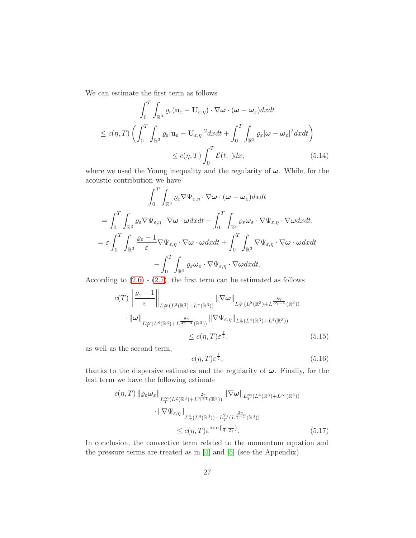We can estimate the first term as follows

$$
\int_{0}^{T} \int_{\mathbb{R}^{3}} \varrho_{\varepsilon}(\mathbf{u}_{\varepsilon} - \mathbf{U}_{\varepsilon,\eta}) \cdot \nabla \omega \cdot (\omega - \omega_{\varepsilon}) dx dt
$$
  
\n
$$
\leq c(\eta, T) \left( \int_{0}^{T} \int_{\mathbb{R}^{3}} \varrho_{\varepsilon} |\mathbf{u}_{\varepsilon} - \mathbf{U}_{\varepsilon,\eta}|^{2} dx dt + \int_{0}^{T} \int_{\mathbb{R}^{3}} \varrho_{\varepsilon} |\omega - \omega_{\varepsilon}|^{2} dx dt \right)
$$
  
\n
$$
\leq c(\eta, T) \int_{0}^{T} \mathcal{E}(t, \cdot) dx,
$$
\n(5.14)

where we used the Young inequality and the regularity of  $\omega$ . While, for the acoustic contribution we have

$$
\int_{0}^{T} \int_{\mathbb{R}^{3}} \varrho_{\varepsilon} \nabla \Psi_{\varepsilon, \eta} \cdot \nabla \omega \cdot (\omega - \omega_{\varepsilon}) dx dt
$$
\n
$$
= \int_{0}^{T} \int_{\mathbb{R}^{3}} \varrho_{\varepsilon} \nabla \Psi_{\varepsilon, \eta} \cdot \nabla \omega \cdot \omega dx dt - \int_{0}^{T} \int_{\mathbb{R}^{3}} \varrho_{\varepsilon} \omega_{\varepsilon} \cdot \nabla \Psi_{\varepsilon, \eta} \cdot \nabla \omega dx dt.
$$
\n
$$
= \varepsilon \int_{0}^{T} \int_{\mathbb{R}^{3}} \frac{\varrho_{\varepsilon} - 1}{\varepsilon} \nabla \Psi_{\varepsilon, \eta} \cdot \nabla \omega \cdot \omega dx dt + \int_{0}^{T} \int_{\mathbb{R}^{3}} \nabla \Psi_{\varepsilon, \eta} \cdot \nabla \omega \cdot \omega dx dt
$$
\n
$$
- \int_{0}^{T} \int_{\mathbb{R}^{3}} \varrho_{\varepsilon} \omega_{\varepsilon} \cdot \nabla \Psi_{\varepsilon, \eta} \cdot \nabla \omega dx dt.
$$

According to  $(2.6)$  -  $(2.7)$ , the first term can be estimated as follows

$$
c(T) \left\| \frac{\varrho_{\varepsilon} - 1}{\varepsilon} \right\|_{L^{\infty}_{T}(L^{2}(\mathbb{R}^{3}) + L^{\gamma}(\mathbb{R}^{3}))} \|\nabla \omega\|_{L^{\infty}_{T}(L^{8}(\mathbb{R}^{3}) + L^{\frac{8\gamma}{3\gamma - 4}}(\mathbb{R}^{3}))}
$$

$$
\cdot \|\omega\|_{L^{\infty}_{T}(L^{8}(\mathbb{R}^{3}) + L^{\frac{8\gamma}{3\gamma - 4}}(\mathbb{R}^{3}))} \|\nabla \Psi_{\varepsilon,\eta}\|_{L^{4}_{T}(L^{4}(\mathbb{R}^{3}) + L^{4}(\mathbb{R}^{3}))}
$$

$$
\leq c(\eta, T) \varepsilon^{\frac{1}{4}}, \qquad (5.15)
$$

as well as the second term,

$$
c(\eta, T)\varepsilon^{\frac{1}{4}},\tag{5.16}
$$

thanks to the dispersive estimates and the regularity of  $\omega$ . Finally, for the last term we have the following estimate

$$
c(\eta, T) \| \varrho_{\varepsilon} \omega_{\varepsilon} \|_{L^{\infty}_{T}(L^{2}(\mathbb{R}^{3}) + L^{\frac{2\gamma}{\gamma+1}}(\mathbb{R}^{3}))} \| \nabla \omega \|_{L^{\infty}_{T}(L^{4}(\mathbb{R}^{3}) + L^{\infty}(\mathbb{R}^{3}))}
$$
  

$$
\cdot \| \nabla \Psi_{\varepsilon, \eta} \|_{L^{4}_{T}(L^{4}(\mathbb{R}^{3})) + L^{2\gamma}_{T}(L^{\frac{2\gamma}{\gamma-1}}(\mathbb{R}^{3}))}
$$
  

$$
\leq c(\eta, T) \varepsilon^{\min\{\frac{1}{4}, \frac{1}{2\gamma}\}}.
$$
 (5.17)

In conclusion, the convective term related to the momentum equation and the pressure terms are treated as in [\[4\]](#page-33-7) and [\[5\]](#page-33-9) (see the Appendix).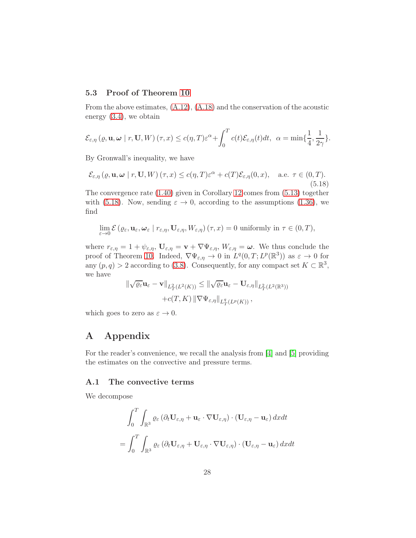### <span id="page-27-0"></span>5.3 Proof of Theorem [10](#page-9-0)

From the above estimates, [\(A.12\)](#page-30-1), [\(A.18\)](#page-32-0) and the conservation of the acoustic energy [\(3.4\)](#page-13-3), we obtain

$$
\mathcal{E}_{\varepsilon,\eta}\left(\varrho,\mathbf{u},\boldsymbol{\omega}\mid r,\mathbf{U},W\right)(\tau,x)\leq c(\eta,T)\varepsilon^{\alpha}+\int_{0}^{T}c(t)\mathcal{E}_{\varepsilon,\eta}(t)dt,\ \ \alpha=\min\{\frac{1}{4},\frac{1}{2\gamma}\}.
$$

By Gronwall's inequality, we have

<span id="page-27-3"></span>
$$
\mathcal{E}_{\varepsilon,\eta}(\varrho,\mathbf{u},\omega \mid r,\mathbf{U},W) \left(\tau,x\right) \leq c(\eta,T)\varepsilon^{\alpha} + c(T)\mathcal{E}_{\varepsilon,\eta}(0,x), \quad \text{a.e. } \tau \in (0,T). \tag{5.18}
$$

The convergence rate [\(1.40\)](#page-9-2) given in Corollary [12](#page-9-3) comes from [\(5.13\)](#page-24-2) together with [\(5.18\)](#page-27-3). Now, sending  $\varepsilon \to 0$ , according to the assumptions [\(1.36\)](#page-9-4), we find

$$
\lim_{\varepsilon \to 0} \mathcal{E} \left( \varrho_{\varepsilon}, \mathbf{u}_{\varepsilon}, \boldsymbol{\omega}_{\varepsilon} \mid r_{\varepsilon, \eta}, \mathbf{U}_{\varepsilon, \eta}, W_{\varepsilon, \eta} \right) (\tau, x) = 0 \text{ uniformly in } \tau \in (0, T),
$$

where  $r_{\varepsilon,\eta} = 1 + \psi_{\varepsilon,\eta}$ ,  $\mathbf{U}_{\varepsilon,\eta} = \mathbf{v} + \nabla \Psi_{\varepsilon,\eta}$ ,  $W_{\varepsilon,\eta} = \boldsymbol{\omega}$ . We thus conclude the proof of Theorem [10.](#page-9-0) Indeed,  $\nabla \Psi_{\varepsilon,\eta} \to 0$  in  $L^q(0,T;L^p(\mathbb{R}^3))$  as  $\varepsilon \to 0$  for any  $(p, q) > 2$  according to [\(3.8\)](#page-14-4). Consequently, for any compact set  $K \subset \mathbb{R}^3$ , we have

$$
\|\sqrt{\varrho_{\varepsilon}}\mathbf{u}_{\varepsilon}-\mathbf{v}\|_{L^{2}_{T}(L^{2}(K))} \leq \|\sqrt{\varrho_{\varepsilon}}\mathbf{u}_{\varepsilon}-\mathbf{U}_{\varepsilon,\eta}\|_{L^{2}_{T}(L^{2}(\mathbb{R}^{3}))}
$$

$$
+c(T,K)\|\nabla\Psi_{\varepsilon,\eta}\|_{L^{q}_{T}(L^{p}(K))},
$$

which goes to zero as  $\varepsilon \to 0$ .

## <span id="page-27-1"></span>A Appendix

For the reader's convenience, we recall the analysis from [\[4\]](#page-33-7) and [\[5\]](#page-33-9) providing the estimates on the convective and pressure terms.

### <span id="page-27-2"></span>A.1 The convective terms

We decompose

$$
\int_0^T \int_{\mathbb{R}^3} \varrho_{\varepsilon} \left( \partial_t \mathbf{U}_{\varepsilon,\eta} + \mathbf{u}_{\varepsilon} \cdot \nabla \mathbf{U}_{\varepsilon,\eta} \right) \cdot (\mathbf{U}_{\varepsilon,\eta} - \mathbf{u}_{\varepsilon}) \, dxdt
$$

$$
= \int_0^T \int_{\mathbb{R}^3} \varrho_{\varepsilon} \left( \partial_t \mathbf{U}_{\varepsilon,\eta} + \mathbf{U}_{\varepsilon,\eta} \cdot \nabla \mathbf{U}_{\varepsilon,\eta} \right) \cdot (\mathbf{U}_{\varepsilon,\eta} - \mathbf{u}_{\varepsilon}) \, dxdt
$$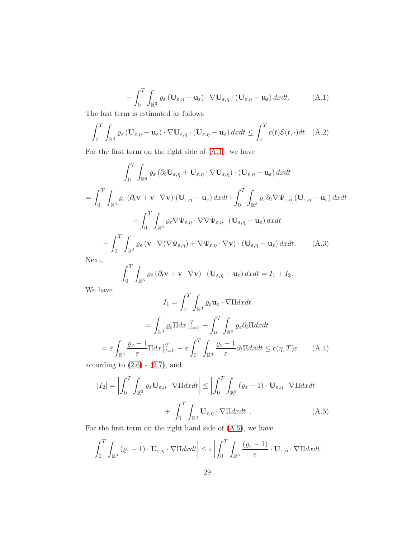<span id="page-28-0"></span>
$$
-\int_0^T \int_{\mathbb{R}^3} \varrho_{\varepsilon} \left( \mathbf{U}_{\varepsilon,\eta} - \mathbf{u}_{\varepsilon} \right) \cdot \nabla \mathbf{U}_{\varepsilon,\eta} \cdot \left( \mathbf{U}_{\varepsilon,\eta} - \mathbf{u}_{\varepsilon} \right) dx dt. \tag{A.1}
$$

The last term is estimated as follows

$$
\int_0^T \int_{\mathbb{R}^3} \varrho_{\varepsilon} \left( \mathbf{U}_{\varepsilon,\eta} - \mathbf{u}_{\varepsilon} \right) \cdot \nabla \mathbf{U}_{\varepsilon,\eta} \cdot \left( \mathbf{U}_{\varepsilon,\eta} - \mathbf{u}_{\varepsilon} \right) dx dt \le \int_0^T c(t) \mathcal{E}(t,\cdot) dt. \tag{A.2}
$$

For the first term on the right side of [\(A.1\)](#page-28-0), we have

$$
\int_{0}^{T} \int_{\mathbb{R}^{3}} \varrho_{\varepsilon} \left( \partial_{t} \mathbf{U}_{\varepsilon,\eta} + \mathbf{U}_{\varepsilon,\eta} \cdot \nabla \mathbf{U}_{\varepsilon,\eta} \right) \cdot (\mathbf{U}_{\varepsilon,\eta} - \mathbf{u}_{\varepsilon}) \, dxdt
$$
\n
$$
= \int_{0}^{T} \int_{\mathbb{R}^{3}} \varrho_{\varepsilon} \left( \partial_{t} \mathbf{v} + \mathbf{v} \cdot \nabla \mathbf{v} \right) \cdot (\mathbf{U}_{\varepsilon,\eta} - \mathbf{u}_{\varepsilon}) \, dxdt + \int_{0}^{T} \int_{\mathbb{R}^{3}} \varrho_{\varepsilon} \partial_{t} \nabla \Psi_{\varepsilon,\eta} \cdot (\mathbf{U}_{\varepsilon,\eta} - \mathbf{u}_{\varepsilon}) \, dxdt
$$
\n
$$
+ \int_{0}^{T} \int_{\mathbb{R}^{3}} \varrho_{\varepsilon} \nabla \Psi_{\varepsilon,\eta} \cdot \nabla \nabla \Psi_{\varepsilon,\eta} \cdot (\mathbf{U}_{\varepsilon,\eta} - \mathbf{u}_{\varepsilon}) \, dxdt
$$
\n
$$
+ \int_{0}^{T} \int_{\mathbb{R}^{3}} \varrho_{\varepsilon} \left( \mathbf{v} \cdot \nabla (\nabla \Psi_{\varepsilon,\eta}) + \nabla \Psi_{\varepsilon,\eta} \cdot \nabla \mathbf{v} \right) \cdot (\mathbf{U}_{\varepsilon,\eta} - \mathbf{u}_{\varepsilon}) \, dxdt. \tag{A.3}
$$
\nNext,

<span id="page-28-2"></span>Next,

$$
\int_0^1 \int_{\mathbb{R}^3} \varrho_{\varepsilon} \left( \partial_t \mathbf{v} + \mathbf{v} \cdot \nabla \mathbf{v} \right) \cdot (\mathbf{U}_{\varepsilon, \eta} - \mathbf{u}_{\varepsilon}) \, dx dt = I_1 + I_2.
$$

We have

$$
I_1 = \int_0^T \int_{\mathbb{R}^3} \varrho_{\varepsilon} \mathbf{u}_{\varepsilon} \cdot \nabla \Pi dx dt
$$

$$
= \int_{\mathbb{R}^3} \varrho_{\varepsilon} \Pi dx \Big|_{t=0}^T - \int_0^T \int_{\mathbb{R}^3} \varrho_{\varepsilon} \partial_t \Pi dx dt
$$

$$
= \varepsilon \int_{\mathbb{R}^3} \frac{\varrho_{\varepsilon} - 1}{\varepsilon} \Pi dx \Big|_{t=0}^T - \varepsilon \int_0^T \int_{\mathbb{R}^3} \frac{\varrho_{\varepsilon} - 1}{\varepsilon} \partial_t \Pi dx dt \le c(\eta, T)\varepsilon \qquad (A.4)
$$

according to  $(2.6)$  -  $(2.7)$ , and

<span id="page-28-1"></span>
$$
|I_2| = \left| \int_0^T \int_{\mathbb{R}^3} \varrho_{\varepsilon} \mathbf{U}_{\varepsilon, \eta} \cdot \nabla \Pi dx dt \right| \le \left| \int_0^T \int_{\mathbb{R}^3} (\varrho_{\varepsilon} - 1) \cdot \mathbf{U}_{\varepsilon, \eta} \cdot \nabla \Pi dx dt \right|
$$

$$
+ \left| \int_0^T \int_{\mathbb{R}^3} \mathbf{U}_{\varepsilon, \eta} \cdot \nabla \Pi dx dt \right|.
$$
(A.5)

For the first term on the right hand side of [\(A.5\)](#page-28-1), we have

$$
\left| \int_0^T \int_{\mathbb{R}^3} (\varrho_\varepsilon - 1) \cdot \mathbf{U}_{\varepsilon, \eta} \cdot \nabla \Pi dx dt \right| \leq \varepsilon \left| \int_0^T \int_{\mathbb{R}^3} \frac{(\varrho_\varepsilon - 1)}{\varepsilon} \cdot \mathbf{U}_{\varepsilon, \eta} \cdot \nabla \Pi dx dt \right|
$$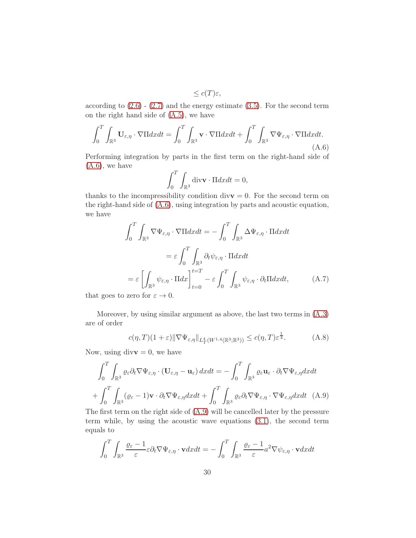$$
\leq c(T)\varepsilon,
$$

according to  $(2.6)$  -  $(2.7)$  and the energy estimate  $(3.5)$ . For the second term on the right hand side of [\(A.5\)](#page-28-1), we have

<span id="page-29-0"></span>
$$
\int_0^T \int_{\mathbb{R}^3} \mathbf{U}_{\varepsilon,\eta} \cdot \nabla \Pi dx dt = \int_0^T \int_{\mathbb{R}^3} \mathbf{v} \cdot \nabla \Pi dx dt + \int_0^T \int_{\mathbb{R}^3} \nabla \Psi_{\varepsilon,\eta} \cdot \nabla \Pi dx dt.
$$
\n(A.6)

Performing integration by parts in the first term on the right-hand side of  $(A.6)$ , we have

$$
\int_0^T \int_{\mathbb{R}^3} \text{div}\mathbf{v} \cdot \Pi dx dt = 0,
$$

thanks to the incompressibility condition div $v = 0$ . For the second term on the right-hand side of [\(A.6\)](#page-29-0), using integration by parts and acoustic equation, we have

$$
\int_{0}^{T} \int_{\mathbb{R}^{3}} \nabla \Psi_{\varepsilon,\eta} \cdot \nabla \Pi dx dt = -\int_{0}^{T} \int_{\mathbb{R}^{3}} \Delta \Psi_{\varepsilon,\eta} \cdot \Pi dx dt
$$

$$
= \varepsilon \int_{0}^{T} \int_{\mathbb{R}^{3}} \partial_{t} \psi_{\varepsilon,\eta} \cdot \Pi dx dt
$$

$$
= \varepsilon \left[ \int_{\mathbb{R}^{3}} \psi_{\varepsilon,\eta} \cdot \Pi dx \right]_{t=0}^{t=T} - \varepsilon \int_{0}^{T} \int_{\mathbb{R}^{3}} \psi_{\varepsilon,\eta} \cdot \partial_{t} \Pi dx dt, \tag{A.7}
$$

that goes to zero for  $\varepsilon \to 0$ .

Moreover, by using similar argument as above, the last two terms in [\(A.3\)](#page-28-2) are of order

$$
c(\eta, T)(1+\varepsilon) \|\nabla \Psi_{\varepsilon,\eta}\|_{L^4_T(W^{1,4}(\mathbb{R}^3;\mathbb{R}^3))} \le c(\eta, T)\varepsilon^{\frac{1}{4}}.
$$
 (A.8)

Now, using div $\mathbf{v} = 0$ , we have

$$
\int_0^T \int_{\mathbb{R}^3} \varrho_{\varepsilon} \partial_t \nabla \Psi_{\varepsilon, \eta} \cdot (\mathbf{U}_{\varepsilon, \eta} - \mathbf{u}_{\varepsilon}) \, dx dt = - \int_0^T \int_{\mathbb{R}^3} \varrho_{\varepsilon} \mathbf{u}_{\varepsilon} \cdot \partial_t \nabla \Psi_{\varepsilon, \eta} dx dt
$$

$$
+ \int_0^T \int_{\mathbb{R}^3} (\varrho_{\varepsilon} - 1) \mathbf{v} \cdot \partial_t \nabla \Psi_{\varepsilon, \eta} dx dt + \int_0^T \int_{\mathbb{R}^3} \varrho_{\varepsilon} \partial_t \nabla \Psi_{\varepsilon, \eta} \cdot \nabla \Psi_{\varepsilon, \eta} dx dt \quad (A.9)
$$

<span id="page-29-1"></span>The first term on the right side of [\(A.9\)](#page-29-1) will be cancelled later by the pressure term while, by using the acoustic wave equations [\(3.1\)](#page-12-2), the second term equals to

$$
\int_0^T \int_{\mathbb{R}^3} \frac{\varrho_\varepsilon - 1}{\varepsilon} \varepsilon \partial_t \nabla \Psi_{\varepsilon, \eta} \cdot \mathbf{v} dx dt = - \int_0^T \int_{\mathbb{R}^3} \frac{\varrho_\varepsilon - 1}{\varepsilon} a^2 \nabla \psi_{\varepsilon, \eta} \cdot \mathbf{v} dx dt
$$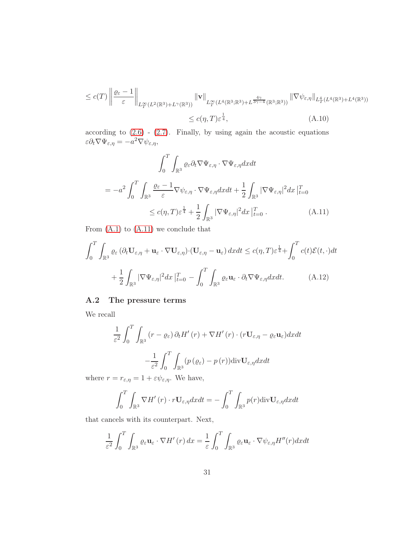$$
\leq c(T) \left\| \frac{\varrho_{\varepsilon} - 1}{\varepsilon} \right\|_{L^{\infty}_{T}(L^{2}(\mathbb{R}^{3}) + L^{\gamma}(\mathbb{R}^{3}))} \|\mathbf{v}\|_{L^{\infty}_{T}(L^{4}(\mathbb{R}^{3}; \mathbb{R}^{3}) + L^{\frac{4\gamma}{3\gamma - 4}}(\mathbb{R}^{3}; \mathbb{R}^{3}))} \|\nabla \psi_{\varepsilon, \eta} \|_{L^{4}_{T}(L^{4}(\mathbb{R}^{3}) + L^{4}(\mathbb{R}^{3}))}
$$
  

$$
\leq c(\eta, T) \varepsilon^{\frac{1}{4}}, \qquad (A.10)
$$

according to  $(2.6)$  -  $(2.7)$ . Finally, by using again the acoustic equations  $\varepsilon \partial_t \nabla \Psi_{\varepsilon, \eta} = -a^2 \nabla \psi_{\varepsilon, \eta},$ 

$$
\int_{0}^{T} \int_{\mathbb{R}^{3}} \varrho_{\varepsilon} \partial_{t} \nabla \Psi_{\varepsilon, \eta} \cdot \nabla \Psi_{\varepsilon, \eta} dxdt
$$
\n
$$
= -a^{2} \int_{0}^{T} \int_{\mathbb{R}^{3}} \frac{\varrho_{\varepsilon} - 1}{\varepsilon} \nabla \psi_{\varepsilon, \eta} \cdot \nabla \Psi_{\varepsilon, \eta} dxdt + \frac{1}{2} \int_{\mathbb{R}^{3}} |\nabla \Psi_{\varepsilon, \eta}|^{2} dx \Big|_{t=0}^{T}
$$
\n
$$
\leq c(\eta, T) \varepsilon^{\frac{1}{4}} + \frac{1}{2} \int_{\mathbb{R}^{3}} |\nabla \Psi_{\varepsilon, \eta}|^{2} dx \Big|_{t=0}^{T} . \tag{A.11}
$$

<span id="page-30-2"></span>From  $(A.1)$  to  $(A.11)$  we conclude that

$$
\int_{0}^{T} \int_{\mathbb{R}^{3}} \varrho_{\varepsilon} \left( \partial_{t} \mathbf{U}_{\varepsilon,\eta} + \mathbf{u}_{\varepsilon} \cdot \nabla \mathbf{U}_{\varepsilon,\eta} \right) \cdot (\mathbf{U}_{\varepsilon,\eta} - \mathbf{u}_{\varepsilon}) \, dx dt \le c(\eta, T) \varepsilon^{\frac{1}{4}} + \int_{0}^{T} c(t) \mathcal{E}(t, \cdot) dt
$$

$$
+ \frac{1}{2} \int_{\mathbb{R}^{3}} |\nabla \Psi_{\varepsilon,\eta}|^{2} dx \, \big|_{t=0}^{T} - \int_{0}^{T} \int_{\mathbb{R}^{3}} \varrho_{\varepsilon} \mathbf{u}_{\varepsilon} \cdot \partial_{t} \nabla \Psi_{\varepsilon,\eta} dx dt. \tag{A.12}
$$

## <span id="page-30-1"></span><span id="page-30-0"></span>A.2 The pressure terms

We recall

$$
\frac{1}{\varepsilon^2} \int_0^T \int_{\mathbb{R}^3} (r - \varrho_\varepsilon) \, \partial_t H'(r) + \nabla H'(r) \cdot (r \mathbf{U}_{\varepsilon, \eta} - \varrho_\varepsilon \mathbf{u}_\varepsilon) dx dt
$$

$$
- \frac{1}{\varepsilon^2} \int_0^T \int_{\mathbb{R}^3} (p (\varrho_\varepsilon) - p (r)) \text{div} \mathbf{U}_{\varepsilon, \eta} dx dt
$$

where  $r = r_{\varepsilon,\eta} = 1 + \varepsilon \psi_{\varepsilon,\eta}$ . We have,

$$
\int_0^T \int_{\mathbb{R}^3} \nabla H'(r) \cdot r \mathbf{U}_{\varepsilon, \eta} dx dt = - \int_0^T \int_{\mathbb{R}^3} p(r) \text{div} \mathbf{U}_{\varepsilon, \eta} dx dt
$$

that cancels with its counterpart. Next,

$$
\frac{1}{\varepsilon^2} \int_0^T \int_{\mathbb{R}^3} \varrho_\varepsilon \mathbf{u}_\varepsilon \cdot \nabla H'(r) \, dx = \frac{1}{\varepsilon} \int_0^T \int_{\mathbb{R}^3} \varrho_\varepsilon \mathbf{u}_\varepsilon \cdot \nabla \psi_{\varepsilon,\eta} H''(r) dx dt
$$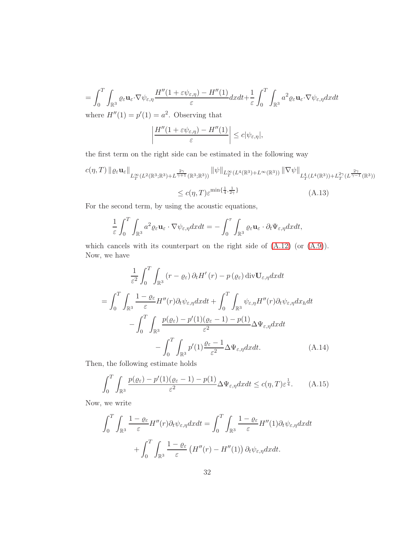$$
= \int_0^T \int_{\mathbb{R}^3} \varrho_{\varepsilon} \mathbf{u}_{\varepsilon} \cdot \nabla \psi_{\varepsilon, \eta} \frac{H''(1 + \varepsilon \psi_{\varepsilon, \eta}) - H''(1)}{\varepsilon} dx dt + \frac{1}{\varepsilon} \int_0^T \int_{\mathbb{R}^3} a^2 \varrho_{\varepsilon} \mathbf{u}_{\varepsilon} \cdot \nabla \psi_{\varepsilon, \eta} dx dt
$$

where  $H''(1) = p'(1) = a^2$ . Observing that

<span id="page-31-1"></span>
$$
\left|\frac{H''(1+\varepsilon\psi_{\varepsilon,\eta})-H''(1)}{\varepsilon}\right|\leq c|\psi_{\varepsilon,\eta}|,
$$

the first term on the right side can be estimated in the following way

$$
c(\eta, T) \left\| \varrho_{\varepsilon} \mathbf{u}_{\varepsilon} \right\|_{L^{\infty}_{T}(L^{2}(\mathbb{R}^{3}; \mathbb{R}^{3}) + L^{\frac{2\gamma}{\gamma+1}}(\mathbb{R}^{3}; \mathbb{R}^{3}))} \|\psi\|_{L^{\infty}_{T}(L^{4}(\mathbb{R}^{3}) + L^{\infty}(\mathbb{R}^{3}))} \|\nabla\psi\|_{L^{4}_{T}(L^{4}(\mathbb{R}^{3})) + L^{2\gamma}_{T}(L^{\frac{2\gamma}{\gamma-1}}(\mathbb{R}^{3}))}
$$
  

$$
\leq c(\eta, T) \varepsilon^{\min\{\frac{1}{4}, \frac{1}{2\gamma}\}} \qquad (A.13)
$$

For the second term, by using the acoustic equations,

$$
\frac{1}{\varepsilon} \int_0^T \int_{\mathbb{R}^3} a^2 \varrho_{\varepsilon} \mathbf{u}_{\varepsilon} \cdot \nabla \psi_{\varepsilon, \eta} dx dt = - \int_0^{\tau} \int_{\mathbb{R}^3} \varrho_{\varepsilon} \mathbf{u}_{\varepsilon} \cdot \partial_t \Psi_{\varepsilon, \eta} dx dt,
$$

which cancels with its counterpart on the right side of  $(A.12)$  (or  $(A.9)$ ). Now, we have

$$
\frac{1}{\varepsilon^2} \int_0^T \int_{\mathbb{R}^3} (r - \varrho_{\varepsilon}) \, \partial_t H'(r) - p(\varrho_{\varepsilon}) \, \text{div} \mathbf{U}_{\varepsilon, \eta} dx dt
$$
\n
$$
= \int_0^T \int_{\mathbb{R}^3} \frac{1 - \varrho_{\varepsilon}}{\varepsilon} H''(r) \partial_t \psi_{\varepsilon, \eta} dx dt + \int_0^T \int_{\mathbb{R}^3} \psi_{\varepsilon, \eta} H''(r) \partial_t \psi_{\varepsilon, \eta} dx_h dt
$$
\n
$$
- \int_0^T \int_{\mathbb{R}^3} \frac{p(\varrho_{\varepsilon}) - p'(1)(\varrho_{\varepsilon} - 1) - p(1)}{\varepsilon^2} \Delta \Psi_{\varepsilon, \eta} dx dt
$$
\n
$$
- \int_0^T \int_{\mathbb{R}^3} p'(1) \frac{\varrho_{\varepsilon} - 1}{\varepsilon^2} \Delta \Psi_{\varepsilon, \eta} dx dt. \tag{A.14}
$$

Then, the following estimate holds

<span id="page-31-0"></span>
$$
\int_0^T \int_{\mathbb{R}^3} \frac{p(\varrho_\varepsilon) - p'(1)(\varrho_\varepsilon - 1) - p(1)}{\varepsilon^2} \Delta \Psi_{\varepsilon, \eta} dx dt \le c(\eta, T) \varepsilon^{\frac{1}{4}}.
$$
 (A.15)

Now, we write

$$
\int_0^T \int_{\mathbb{R}^3} \frac{1 - \varrho_{\varepsilon}}{\varepsilon} H''(r) \partial_t \psi_{\varepsilon, \eta} dx dt = \int_0^T \int_{\mathbb{R}^3} \frac{1 - \varrho_{\varepsilon}}{\varepsilon} H''(1) \partial_t \psi_{\varepsilon, \eta} dx dt
$$

$$
+ \int_0^T \int_{\mathbb{R}^3} \frac{1 - \varrho_{\varepsilon}}{\varepsilon} \left( H''(r) - H''(1) \right) \partial_t \psi_{\varepsilon, \eta} dx dt.
$$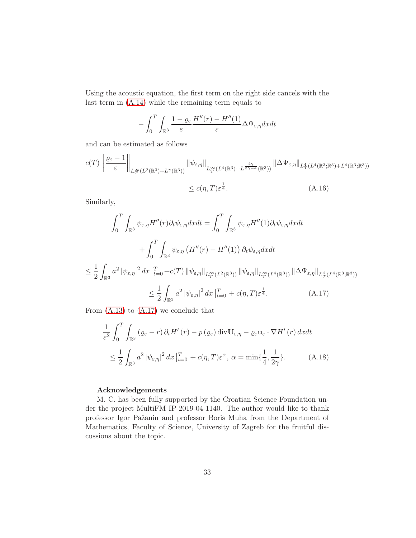Using the acoustic equation, the first term on the right side cancels with the last term in [\(A.14\)](#page-31-0) while the remaining term equals to

$$
-\int_0^T \int_{\mathbb{R}^3} \frac{1-\varrho_\varepsilon}{\varepsilon} \frac{H''(r) - H''(1)}{\varepsilon} \Delta \Psi_{\varepsilon, \eta} dxdt
$$

and can be estimated as follows

$$
c(T) \left\| \frac{\varrho_{\varepsilon} - 1}{\varepsilon} \right\|_{L^{\infty}_{T}(L^{2}(\mathbb{R}^{3}) + L^{\gamma}(\mathbb{R}^{3}))} \|\psi_{\varepsilon,\eta}\|_{L^{\infty}_{T}(L^{4}(\mathbb{R}^{3}) + L^{\frac{4\gamma}{3\gamma - 4}}(\mathbb{R}^{3}))} \|\Delta \Psi_{\varepsilon,\eta}\|_{L^{4}_{T}(L^{4}(\mathbb{R}^{3};\mathbb{R}^{3}) + L^{4}(\mathbb{R}^{3};\mathbb{R}^{3}))}
$$
  

$$
\leq c(\eta,T) \varepsilon^{\frac{1}{4}}.
$$
 (A.16)

Similarly,

$$
\int_0^T \int_{\mathbb{R}^3} \psi_{\varepsilon,\eta} H''(r) \partial_t \psi_{\varepsilon,\eta} dx dt = \int_0^T \int_{\mathbb{R}^3} \psi_{\varepsilon,\eta} H''(1) \partial_t \psi_{\varepsilon,\eta} dx dt
$$

$$
+ \int_0^T \int_{\mathbb{R}^3} \psi_{\varepsilon,\eta} \left( H''(r) - H''(1) \right) \partial_t \psi_{\varepsilon,\eta} dx dt
$$

$$
\int_{\mathbb{R}^3} \int_{\mathbb{R}^3} |e^{2 \int_{\mathbb{R}^3} |F(x)|^2} dx dt = \int_{\mathbb{R}^3} \int_{\mathbb{R}^3} \psi_{\varepsilon,\eta} H'''(1) \partial_t \psi_{\varepsilon,\eta} dx dt
$$

$$
\leq \frac{1}{2} \int_{\mathbb{R}^3} a^2 |\psi_{\varepsilon,\eta}|^2 dx \, |_{t=0}^T + c(T) \, \|\psi_{\varepsilon,\eta}\|_{L_T^\infty(L^2(\mathbb{R}^3))} \, \|\psi_{\varepsilon,\eta}\|_{L_T^\infty(L^4(\mathbb{R}^3))} \, \|\Delta\Psi_{\varepsilon,\eta}\|_{L_T^4(L^4(\mathbb{R}^3;\mathbb{R}^3))}
$$
\n
$$
\leq \frac{1}{2} \int_{\mathbb{R}^3} a^2 |\psi_{\varepsilon,\eta}|^2 dx \, |_{t=0}^T + c(\eta,T) \varepsilon^{\frac{1}{4}}. \tag{A.17}
$$

From  $(A.13)$  to  $(A.17)$  we conclude that

<span id="page-32-1"></span><span id="page-32-0"></span>
$$
\frac{1}{\varepsilon^2} \int_0^T \int_{\mathbb{R}^3} (\varrho_\varepsilon - r) \, \partial_t H'(r) - p(\varrho_\varepsilon) \operatorname{div} \mathbf{U}_{\varepsilon, \eta} - \varrho_\varepsilon \mathbf{u}_\varepsilon \cdot \nabla H'(r) \, dx dt
$$
\n
$$
\leq \frac{1}{2} \int_{\mathbb{R}^3} a^2 \, |\psi_{\varepsilon, \eta}|^2 \, dx \, \big|_{t=0}^T + c(\eta, T) \varepsilon^\alpha, \, \alpha = \min\{\frac{1}{4}, \frac{1}{2\gamma}\}. \tag{A.18}
$$

### Acknowledgements

M. C. has been fully supported by the Croatian Science Foundation under the project MultiFM IP-2019-04-1140. The author would like to thank professor Igor Pažanin and professor Boris Muha from the Department of Mathematics, Faculty of Science, University of Zagreb for the fruitful discussions about the topic.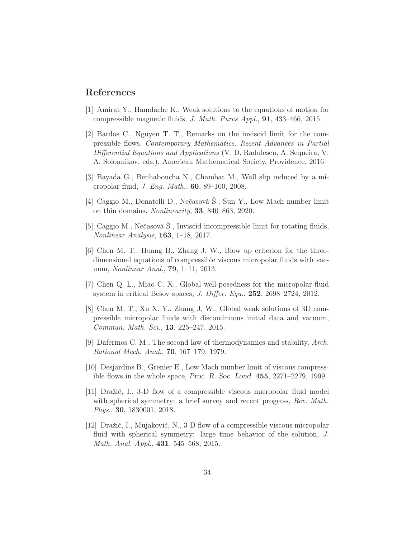## <span id="page-33-1"></span>References

- <span id="page-33-11"></span>[1] Amirat Y., Hamdache K., Weak solutions to the equations of motion for compressible magnetic fluids, J. Math. Pures Appl., 91, 433–466, 2015.
- [2] Bardos C., Nguyen T. T., Remarks on the inviscid limit for the compressible flows. Contemporary Mathematics. Recent Advances in Partial Differential Equations and Applications (V. D. Radulescu, A. Sequeira, V. A. Solonnikov, eds.), American Mathematical Society, Providence, 2016.
- <span id="page-33-7"></span><span id="page-33-6"></span>[3] Bayada G., Benhaboucha N., Chambat M., Wall slip induced by a micropolar fluid, J. Eng. Math., 60, 89–100, 2008.
- [4] Caggio M., Donatelli D., Nečasová Š., Sun Y., Low Mach number limit on thin domains, Nonlinearity, 33, 840–863, 2020.
- <span id="page-33-9"></span>[5] Caggio M., Nečasová Š., Inviscid incompressible limit for rotating fluids, Nonlinear Analysis, 163, 1–18, 2017.
- <span id="page-33-2"></span>[6] Chen M. T., Huang B., Zhang J. W., Blow up criterion for the threedimensional equations of compressible viscous micropolar fluids with vacuum, Nonlinear Anal., 79, 1–11, 2013.
- <span id="page-33-3"></span><span id="page-33-0"></span>[7] Chen Q. L., Miao C. X., Global well-posedness for the micropolar fluid system in critical Besov spaces, J. Differ. Equ., 252, 2698–2724, 2012.
- [8] Chen M. T., Xu X. Y., Zhang J. W., Global weak solutions of 3D compressible micropolar fluids with discontinuous initial data and vacuum, Commun. Math. Sci., 13, 225–247, 2015.
- <span id="page-33-10"></span><span id="page-33-8"></span>[9] Dafermos C. M., The second law of thermodynamics and stability, Arch. Rational Mech. Anal., 70, 167–179, 1979.
- <span id="page-33-4"></span>[10] Desjardins B., Grenier E., Low Mach number limit of viscous compressible flows in the whole space, Proc. R. Soc. Lond. 455, 2271–2279, 1999.
- [11] Dražić, I., 3-D flow of a compressible viscous micropolar fluid model with spherical symmetry: a brief survey and recent progress, Rev. Math. Phys., 30, 1830001, 2018.
- <span id="page-33-5"></span>[12] Dražić, I., Mujaković, N., 3-D flow of a compressible viscous micropolar fluid with spherical symmetry: large time behavior of the solution, J. Math. Anal. Appl., 431, 545–568, 2015.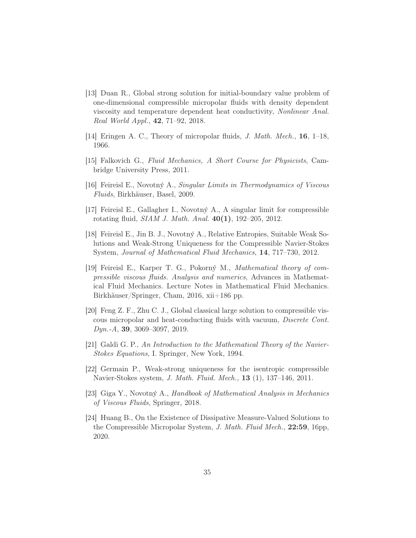- <span id="page-34-2"></span>[13] Duan R., Global strong solution for initial-boundary value problem of one-dimensional compressible micropolar fluids with density dependent viscosity and temperature dependent heat conductivity, Nonlinear Anal. Real World Appl., 42, 71–92, 2018.
- <span id="page-34-9"></span><span id="page-34-0"></span>[14] Eringen A. C., Theory of micropolar fluids, J. Math. Mech., 16, 1–18, 1966.
- <span id="page-34-4"></span>[15] Falkovich G., Fluid Mechanics, A Short Course for Physicists, Cambridge University Press, 2011.
- <span id="page-34-8"></span>[16] Feireisl E., Novotný A., Singular Limits in Thermodynamics of Viscous Fluids, Birkhäuser, Basel, 2009.
- <span id="page-34-11"></span>[17] Feireisl E., Gallagher I., Novotný A., A singular limit for compressible rotating fluid, SIAM J. Math. Anal. 40(1), 192–205, 2012.
- [18] Feireisl E., Jin B. J., Novotný A., Relative Entropies, Suitable Weak Solutions and Weak-Strong Uniqueness for the Compressible Navier-Stokes System, Journal of Mathematical Fluid Mechanics, 14, 717–730, 2012.
- <span id="page-34-10"></span>[19] Feireisl E., Karper T. G., Pokorný M., Mathematical theory of compressible viscous fluids. Analysis and numerics, Advances in Mathematical Fluid Mechanics. Lecture Notes in Mathematical Fluid Mechanics. Birkhäuser/Springer, Cham, 2016, xii+186 pp.
- <span id="page-34-3"></span>[20] Feng Z. F., Zhu C. J., Global classical large solution to compressible viscous micropolar and heat-conducting fluids with vacuum, Discrete Cont. Dyn.-A, 39, 3069–3097, 2019.
- <span id="page-34-7"></span>[21] Galdi G. P., An Introduction to the Mathematical Theory of the Navier-Stokes Equations, I. Springer, New York, 1994.
- <span id="page-34-5"></span>[22] Germain P., Weak-strong uniqueness for the isentropic compressible Navier-Stokes system, J. Math. Fluid. Mech., 13 (1), 137–146, 2011.
- <span id="page-34-6"></span><span id="page-34-1"></span>[23] Giga Y., Novotný A., Handbook of Mathematical Analysis in Mechanics of Viscous Fluids, Springer, 2018.
- [24] Huang B., On the Existence of Dissipative Measure-Valued Solutions to the Compressible Micropolar System, J. Math. Fluid Mech., 22:59, 16pp, 2020.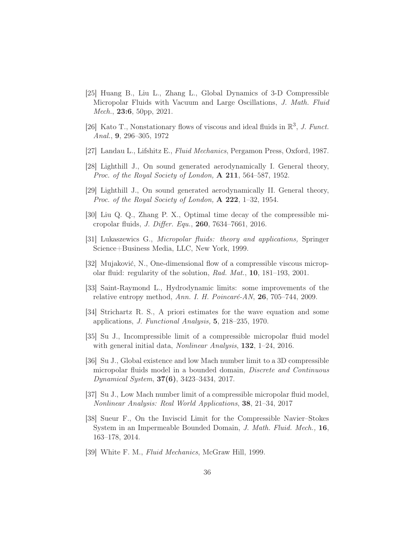- <span id="page-35-3"></span>[25] Huang B., Liu L., Zhang L., Global Dynamics of 3-D Compressible Micropolar Fluids with Vacuum and Large Oscillations, J. Math. Fluid Mech., **23:6**, 50pp, 2021.
- <span id="page-35-10"></span><span id="page-35-9"></span>[26] Kato T., Nonstationary flows of viscous and ideal fluids in  $\mathbb{R}^3$ , J. Funct. Anal., 9, 296–305, 1972
- <span id="page-35-12"></span>[27] Landau L., Lifshitz E., Fluid Mechanics, Pergamon Press, Oxford, 1987.
- <span id="page-35-13"></span>[28] Lighthill J., On sound generated aerodynamically I. General theory, Proc. of the Royal Society of London, A 211, 564–587, 1952.
- <span id="page-35-2"></span>[29] Lighthill J., On sound generated aerodynamically II. General theory, *Proc.* of the Royal Society of London,  $\bf{A}$  **222**, 1–32, 1954.
- <span id="page-35-0"></span>[30] Liu Q. Q., Zhang P. X., Optimal time decay of the compressible micropolar fluids, J. Differ. Equ., 260, 7634–7661, 2016.
- <span id="page-35-1"></span>[31] Lukaszewics G., Micropolar fluids: theory and applications, Springer Science+Business Media, LLC, New York, 1999.
- <span id="page-35-8"></span>[32] Mujaković, N., One-dimensional flow of a compressible viscous micropolar fluid: regularity of the solution, Rad. Mat., 10, 181–193, 2001.
- <span id="page-35-11"></span>[33] Saint-Raymond L., Hydrodynamic limits: some improvements of the relative entropy method, Ann. I. H. Poincaré-AN,  $26$ ,  $705-744$ ,  $2009$ .
- <span id="page-35-4"></span>[34] Strichartz R. S., A priori estimates for the wave equation and some applications, J. Functional Analysis, 5, 218–235, 1970.
- <span id="page-35-5"></span>[35] Su J., Incompressible limit of a compressible micropolar fluid model with general initial data, *Nonlinear Analysis*, **132**, 1–24, 2016.
- [36] Su J., Global existence and low Mach number limit to a 3D compressible micropolar fluids model in a bounded domain, Discrete and Continuous Dynamical System, 37(6), 3423–3434, 2017.
- <span id="page-35-6"></span>[37] Su J., Low Mach number limit of a compressible micropolar fluid model, Nonlinear Analysis: Real World Applications, 38, 21–34, 2017
- [38] Sueur F., On the Inviscid Limit for the Compressible Navier–Stokes System in an Impermeable Bounded Domain, J. Math. Fluid. Mech., 16, 163–178, 2014.
- <span id="page-35-7"></span>[39] White F. M., Fluid Mechanics, McGraw Hill, 1999.